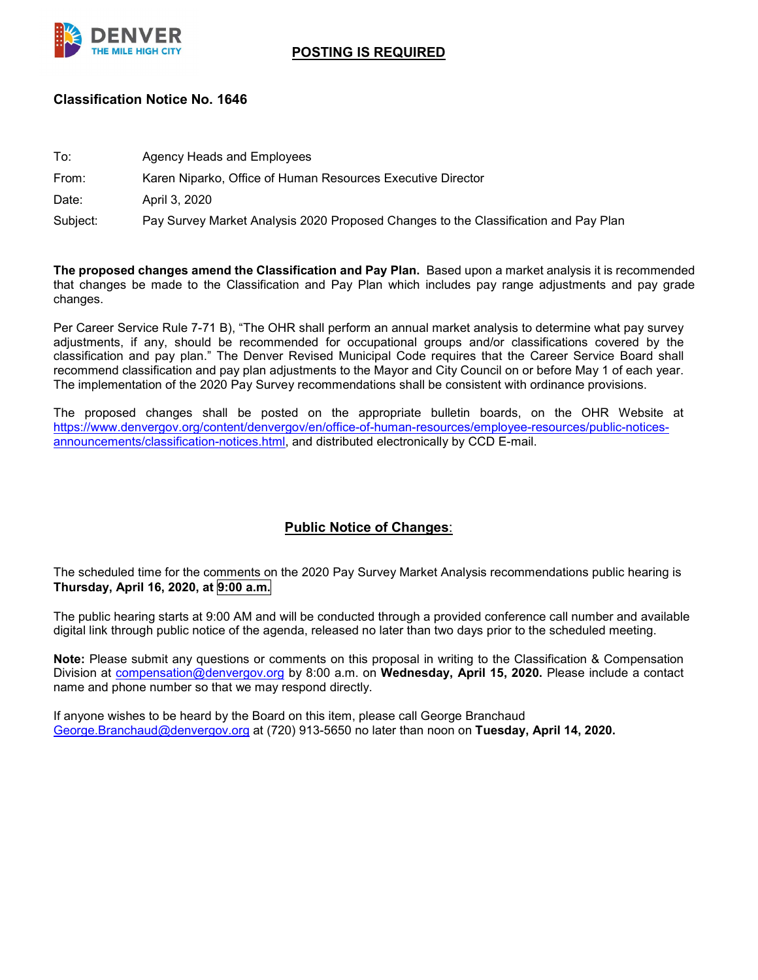

## **POSTING IS REQUIRED**

## **Classification Notice No. 1646**

| To:      | Agency Heads and Employees                                                          |
|----------|-------------------------------------------------------------------------------------|
| From:    | Karen Niparko, Office of Human Resources Executive Director                         |
| Date:    | April 3, 2020                                                                       |
| Subject: | Pay Survey Market Analysis 2020 Proposed Changes to the Classification and Pay Plan |
|          |                                                                                     |

**The proposed changes amend the Classification and Pay Plan.** Based upon a market analysis it is recommended that changes be made to the Classification and Pay Plan which includes pay range adjustments and pay grade changes.

Per Career Service Rule 7-71 B), "The OHR shall perform an annual market analysis to determine what pay survey adjustments, if any, should be recommended for occupational groups and/or classifications covered by the classification and pay plan." The Denver Revised Municipal Code requires that the Career Service Board shall recommend classification and pay plan adjustments to the Mayor and City Council on or before May 1 of each year. The implementation of the 2020 Pay Survey recommendations shall be consistent with ordinance provisions.

The proposed changes shall be posted on the appropriate bulletin boards, on the OHR Website at [https://www.denvergov.org/content/denvergov/en/office-of-human-resources/employee-resources/public-notices](https://www.denvergov.org/content/denvergov/en/office-of-human-resources/employee-resources/public-notices-announcements/classification-notices.html)[announcements/classification-notices.html,](https://www.denvergov.org/content/denvergov/en/office-of-human-resources/employee-resources/public-notices-announcements/classification-notices.html) and distributed electronically by CCD E-mail.

## **Public Notice of Changes**:

The scheduled time for the comments on the 2020 Pay Survey Market Analysis recommendations public hearing is **Thursday, April 16, 2020, at 9:00 a.m.**

The public hearing starts at 9:00 AM and will be conducted through a provided conference call number and available digital link through public notice of the agenda, released no later than two days prior to the scheduled meeting.

**Note:** Please submit any questions or comments on this proposal in writing to the Classification & Compensation Division at [compensation@denvergov.org](mailto:compensation@denvergov.org) by 8:00 a.m. on **Wednesday, April 15, 2020.** Please include a contact name and phone number so that we may respond directly.

If anyone wishes to be heard by the Board on this item, please call George Branchaud [George.Branchaud@denvergov.org](mailto:George.Branchaud@denvergov.org) at (720) 913-5650 no later than noon on **Tuesday, April 14, 2020.**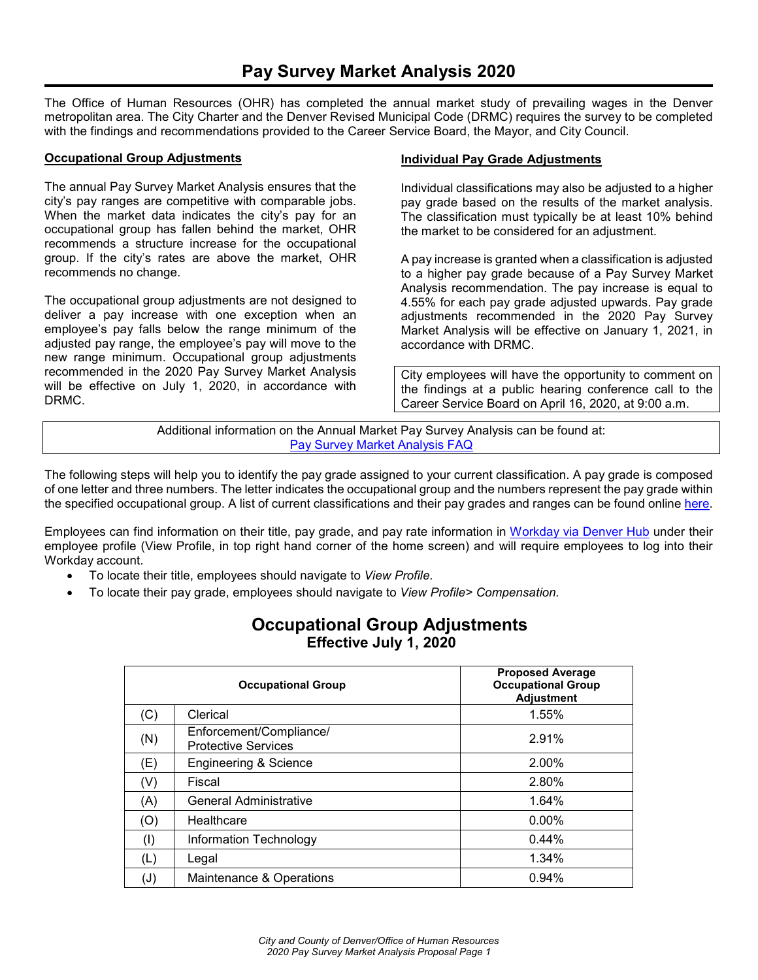The Office of Human Resources (OHR) has completed the annual market study of prevailing wages in the Denver metropolitan area. The City Charter and the Denver Revised Municipal Code (DRMC) requires the survey to be completed with the findings and recommendations provided to the Career Service Board, the Mayor, and City Council.

#### **Occupational Group Adjustments**

The annual Pay Survey Market Analysis ensures that the city's pay ranges are competitive with comparable jobs. When the market data indicates the city's pay for an occupational group has fallen behind the market, OHR recommends a structure increase for the occupational group. If the city's rates are above the market, OHR recommends no change.

The occupational group adjustments are not designed to deliver a pay increase with one exception when an employee's pay falls below the range minimum of the adjusted pay range, the employee's pay will move to the new range minimum. Occupational group adjustments recommended in the 2020 Pay Survey Market Analysis will be effective on July 1, 2020, in accordance with DRMC.

#### **Individual Pay Grade Adjustments**

Individual classifications may also be adjusted to a higher pay grade based on the results of the market analysis. The classification must typically be at least 10% behind the market to be considered for an adjustment.

A pay increase is granted when a classification is adjusted to a higher pay grade because of a Pay Survey Market Analysis recommendation. The pay increase is equal to 4.55% for each pay grade adjusted upwards. Pay grade adjustments recommended in the 2020 Pay Survey Market Analysis will be effective on January 1, 2021, in accordance with DRMC.

City employees will have the opportunity to comment on the findings at a public hearing conference call to the Career Service Board on April 16, 2020, at 9:00 a.m.

Additional information on the Annual Market Pay Survey Analysis can be found at: [Pay Survey Market Analysis FAQ](https://www.denvergov.org/content/denvergov/en/office-of-human-resources/employee-resources/Classification-and-Compensation/market-pay-survey.html)

The following steps will help you to identify the pay grade assigned to your current classification. A pay grade is composed of one letter and three numbers. The letter indicates the occupational group and the numbers represent the pay grade within the specified occupational group. A list of current classifications and their pay grades and ranges can be found online [here.](https://www.denvergov.org/content/dam/denvergov/Portals/671/documents/Pay/PayRanges&JobTitles.pdf)

Employees can find information on their title, pay grade, and pay rate information in Workday [via Denver Hub](https://denvercity.sharepoint.com/sites/moderndev) under their employee profile (View Profile, in top right hand corner of the home screen) and will require employees to log into their Workday account.

- To locate their title, employees should navigate to *View Profile.*
- To locate their pay grade, employees should navigate to *View Profile> Compensation.*

| <b>Occupational Group Adjustments</b> |  |
|---------------------------------------|--|
| <b>Effective July 1, 2020</b>         |  |

|                | <b>Occupational Group</b>                             | <b>Proposed Average</b><br><b>Occupational Group</b><br><b>Adjustment</b> |
|----------------|-------------------------------------------------------|---------------------------------------------------------------------------|
| (C)            | Clerical                                              | 1.55%                                                                     |
| (N)            | Enforcement/Compliance/<br><b>Protective Services</b> | 2.91%                                                                     |
| (E)            | <b>Engineering &amp; Science</b>                      | 2.00%                                                                     |
| (V)            | Fiscal                                                | 2.80%                                                                     |
| (A)            | <b>General Administrative</b>                         | 1.64%                                                                     |
| (O)            | Healthcare                                            | $0.00\%$                                                                  |
| (1)            | Information Technology                                | 0.44%                                                                     |
| (L)            | Legal                                                 | 1.34%                                                                     |
| $(\mathsf{J})$ | Maintenance & Operations                              | 0.94%                                                                     |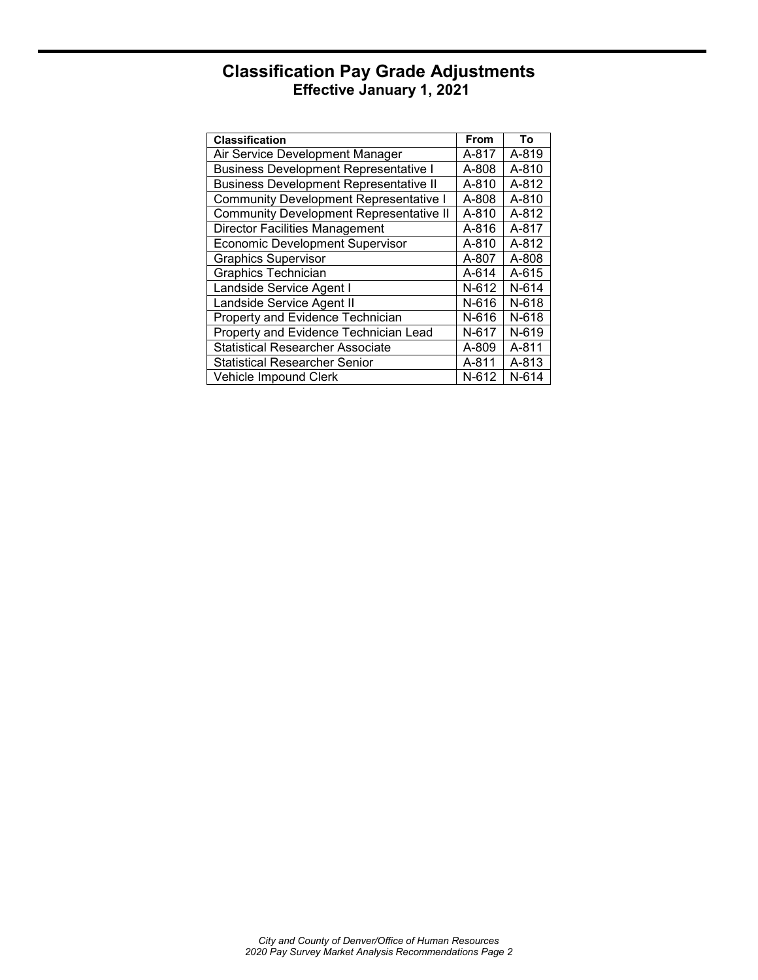# **Classification Pay Grade Adjustments Effective January 1, 2021**

| <b>Classification</b>                          | <b>From</b> | To    |
|------------------------------------------------|-------------|-------|
| Air Service Development Manager                | A-817       | A-819 |
| <b>Business Development Representative I</b>   | A-808       | A-810 |
| <b>Business Development Representative II</b>  | A-810       | A-812 |
| <b>Community Development Representative I</b>  | A-808       | A-810 |
| <b>Community Development Representative II</b> | A-810       | A-812 |
| <b>Director Facilities Management</b>          | A-816       | A-817 |
| <b>Economic Development Supervisor</b>         | A-810       | A-812 |
| <b>Graphics Supervisor</b>                     | A-807       | A-808 |
| <b>Graphics Technician</b>                     | A-614       | A-615 |
| Landside Service Agent I                       | $N-612$     | N-614 |
| Landside Service Agent II                      | N-616       | N-618 |
| Property and Evidence Technician               | N-616       | N-618 |
| Property and Evidence Technician Lead          | N-617       | N-619 |
| <b>Statistical Researcher Associate</b>        | A-809       | A-811 |
| <b>Statistical Researcher Senior</b>           | A-811       | A-813 |
| Vehicle Impound Clerk                          | N-612       | N-614 |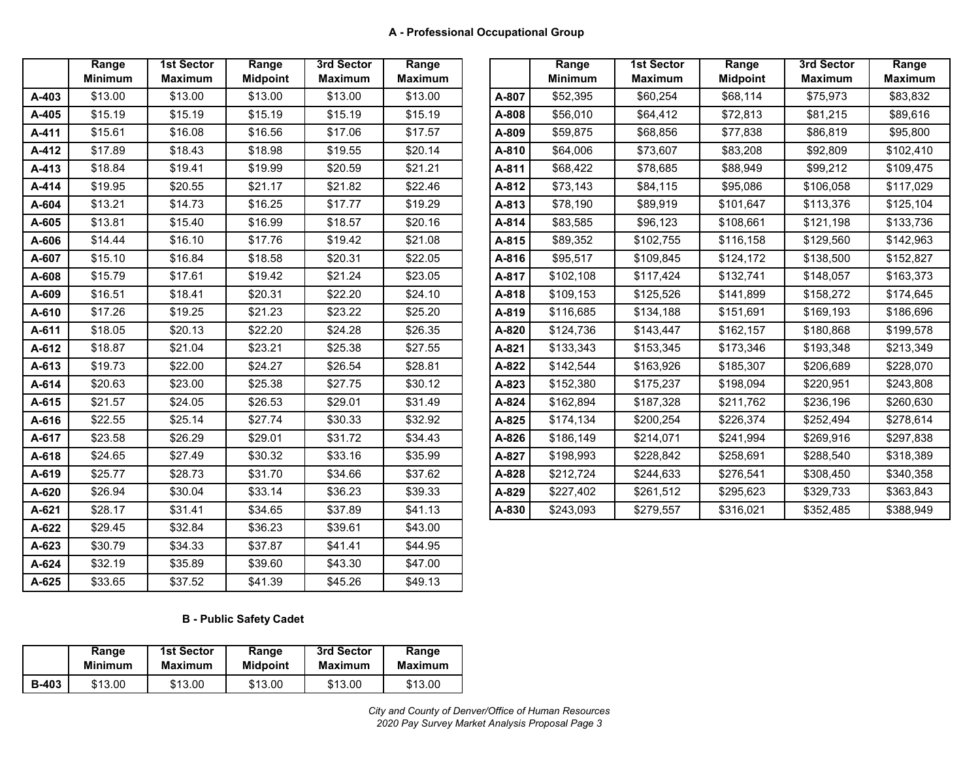|       | Range          | <b>1st Sector</b> | Range           | 3rd Sector     | Range          |       | Range          | <b>1st Sector</b> | Range           | 3rd Sector     | Range          |
|-------|----------------|-------------------|-----------------|----------------|----------------|-------|----------------|-------------------|-----------------|----------------|----------------|
|       | <b>Minimum</b> | <b>Maximum</b>    | <b>Midpoint</b> | <b>Maximum</b> | <b>Maximum</b> |       | <b>Minimum</b> | <b>Maximum</b>    | <b>Midpoint</b> | <b>Maximum</b> | <b>Maximun</b> |
| A-403 | \$13.00        | \$13.00           | \$13.00         | \$13.00        | \$13.00        | A-807 | \$52,395       | \$60,254          | \$68,114        | \$75,973       | \$83,832       |
| A-405 | \$15.19        | \$15.19           | \$15.19         | \$15.19        | \$15.19        | A-808 | \$56,010       | \$64,412          | \$72,813        | \$81,215       | \$89,616       |
| A-411 | \$15.61        | \$16.08           | \$16.56         | \$17.06        | \$17.57        | A-809 | \$59,875       | \$68,856          | \$77,838        | \$86,819       | \$95,800       |
| A-412 | \$17.89        | \$18.43           | \$18.98         | \$19.55        | \$20.14        | A-810 | \$64,006       | \$73,607          | \$83,208        | \$92,809       | \$102,410      |
| A-413 | \$18.84        | \$19.41           | \$19.99         | \$20.59        | \$21.21        | A-811 | \$68,422       | \$78,685          | \$88,949        | \$99,212       | \$109,475      |
| A-414 | \$19.95        | \$20.55           | \$21.17         | \$21.82        | \$22.46        | A-812 | \$73,143       | \$84,115          | \$95,086        | \$106,058      | \$117,029      |
| A-604 | \$13.21        | \$14.73           | \$16.25         | \$17.77        | \$19.29        | A-813 | \$78,190       | \$89,919          | \$101,647       | \$113,376      | \$125,104      |
| A-605 | \$13.81        | \$15.40           | \$16.99         | \$18.57        | \$20.16        | A-814 | \$83,585       | \$96,123          | \$108,661       | \$121,198      | \$133,736      |
| A-606 | \$14.44        | \$16.10           | \$17.76         | \$19.42        | \$21.08        | A-815 | \$89,352       | \$102,755         | \$116,158       | \$129,560      | \$142,963      |
| A-607 | \$15.10        | \$16.84           | \$18.58         | \$20.31        | \$22.05        | A-816 | \$95,517       | \$109,845         | \$124,172       | \$138,500      | \$152,827      |
| A-608 | \$15.79        | \$17.61           | \$19.42         | \$21.24        | \$23.05        | A-817 | \$102,108      | \$117,424         | \$132,741       | \$148,057      | \$163,373      |
| A-609 | \$16.51        | \$18.41           | \$20.31         | \$22.20        | \$24.10        | A-818 | \$109,153      | \$125,526         | \$141,899       | \$158,272      | \$174,645      |
| A-610 | \$17.26        | \$19.25           | \$21.23         | \$23.22        | \$25.20        | A-819 | \$116,685      | \$134,188         | \$151,691       | \$169,193      | \$186,696      |
| A-611 | \$18.05        | \$20.13           | \$22.20         | \$24.28        | \$26.35        | A-820 | \$124,736      | \$143,447         | \$162,157       | \$180,868      | \$199,578      |
| A-612 | \$18.87        | \$21.04           | \$23.21         | \$25.38        | \$27.55        | A-821 | \$133,343      | \$153,345         | \$173,346       | \$193,348      | \$213,349      |
| A-613 | \$19.73        | \$22.00           | \$24.27         | \$26.54        | \$28.81        | A-822 | \$142,544      | \$163,926         | \$185,307       | \$206,689      | \$228,070      |
| A-614 | \$20.63        | \$23.00           | \$25.38         | \$27.75        | \$30.12        | A-823 | \$152,380      | \$175,237         | \$198,094       | \$220,951      | \$243,808      |
| A-615 | \$21.57        | \$24.05           | \$26.53         | \$29.01        | \$31.49        | A-824 | \$162,894      | \$187,328         | \$211,762       | \$236,196      | \$260,630      |
| A-616 | \$22.55        | \$25.14           | \$27.74         | \$30.33        | \$32.92        | A-825 | \$174,134      | \$200,254         | \$226,374       | \$252,494      | \$278,614      |
| A-617 | \$23.58        | \$26.29           | \$29.01         | \$31.72        | \$34.43        | A-826 | \$186,149      | \$214,071         | \$241,994       | \$269,916      | \$297,838      |
| A-618 | \$24.65        | \$27.49           | \$30.32         | \$33.16        | \$35.99        | A-827 | \$198,993      | \$228,842         | \$258,691       | \$288,540      | \$318,389      |
| A-619 | \$25.77        | \$28.73           | \$31.70         | \$34.66        | \$37.62        | A-828 | \$212,724      | \$244,633         | \$276,541       | \$308,450      | \$340,358      |
| A-620 | \$26.94        | \$30.04           | \$33.14         | \$36.23        | \$39.33        | A-829 | \$227,402      | \$261,512         | \$295,623       | \$329,733      | \$363,843      |
| A-621 | \$28.17        | \$31.41           | \$34.65         | \$37.89        | \$41.13        | A-830 | \$243,093      | \$279,557         | \$316,021       | \$352,485      | \$388,949      |
| A-622 | \$29.45        | \$32.84           | \$36.23         | \$39.61        | \$43.00        |       |                |                   |                 |                |                |
| A-623 | \$30.79        | \$34.33           | \$37.87         | \$41.41        | \$44.95        |       |                |                   |                 |                |                |
| A-624 | \$32.19        | \$35.89           | \$39.60         | \$43.30        | \$47.00        |       |                |                   |                 |                |                |
| A-625 | \$33.65        | \$37.52           | \$41.39         | \$45.26        | \$49.13        |       |                |                   |                 |                |                |

|       | Range<br><b>Minimum</b> | <b>1st Sector</b><br><b>Maximum</b> | Range<br><b>Midpoint</b> | 3rd Sector<br><b>Maximum</b> | Range<br><b>Maximum</b> |       | Range<br><b>Minimum</b> | <b>1st Sector</b><br><b>Maximum</b> | Range<br><b>Midpoint</b> | 3rd Sector<br><b>Maximum</b> | Range<br><b>Maximum</b> |
|-------|-------------------------|-------------------------------------|--------------------------|------------------------------|-------------------------|-------|-------------------------|-------------------------------------|--------------------------|------------------------------|-------------------------|
| A-403 | \$13.00                 | \$13.00                             | \$13.00                  | \$13.00                      | \$13.00                 | A-807 | \$52,395                | \$60,254                            | \$68,114                 | \$75,973                     | \$83,832                |
| A-405 | \$15.19                 | \$15.19                             | \$15.19                  | \$15.19                      | \$15.19                 | A-808 | \$56,010                | \$64,412                            | \$72,813                 | \$81,215                     | \$89,616                |
| A-411 | \$15.61                 | \$16.08                             | \$16.56                  | \$17.06                      | \$17.57                 | A-809 | \$59,875                | \$68,856                            | \$77,838                 | \$86,819                     | \$95,800                |
| A-412 | \$17.89                 | \$18.43                             | \$18.98                  | \$19.55                      | \$20.14                 | A-810 | \$64,006                | \$73,607                            | \$83,208                 | \$92,809                     | \$102,410               |
| A-413 | \$18.84                 | \$19.41                             | \$19.99                  | \$20.59                      | \$21.21                 | A-811 | \$68,422                | \$78,685                            | \$88,949                 | \$99,212                     | \$109,475               |
| A-414 | \$19.95                 | \$20.55                             | \$21.17                  | \$21.82                      | \$22.46                 | A-812 | \$73,143                | \$84,115                            | \$95,086                 | \$106,058                    | \$117,029               |
| A-604 | \$13.21                 | \$14.73                             | \$16.25                  | \$17.77                      | \$19.29                 | A-813 | \$78,190                | \$89,919                            | \$101,647                | \$113,376                    | \$125,104               |
| A-605 | \$13.81                 | \$15.40                             | \$16.99                  | \$18.57                      | \$20.16                 | A-814 | \$83,585                | \$96,123                            | \$108,661                | \$121,198                    | \$133,736               |
| A-606 | \$14.44                 | \$16.10                             | \$17.76                  | \$19.42                      | \$21.08                 | A-815 | \$89,352                | \$102,755                           | \$116,158                | \$129,560                    | \$142,963               |
| A-607 | \$15.10                 | \$16.84                             | \$18.58                  | \$20.31                      | \$22.05                 | A-816 | \$95,517                | \$109,845                           | \$124,172                | \$138,500                    | \$152,827               |
| A-608 | \$15.79                 | \$17.61                             | \$19.42                  | \$21.24                      | \$23.05                 | A-817 | \$102,108               | \$117,424                           | \$132,741                | \$148,057                    | \$163,373               |
| A-609 | \$16.51                 | \$18.41                             | \$20.31                  | \$22.20                      | \$24.10                 | A-818 | \$109,153               | \$125,526                           | \$141,899                | \$158,272                    | \$174,645               |
| A-610 | \$17.26                 | \$19.25                             | \$21.23                  | \$23.22                      | \$25.20                 | A-819 | \$116,685               | \$134,188                           | \$151,691                | \$169,193                    | \$186,696               |
| A-611 | \$18.05                 | \$20.13                             | \$22.20                  | \$24.28                      | \$26.35                 | A-820 | \$124,736               | \$143,447                           | \$162,157                | \$180,868                    | \$199,578               |
| A-612 | \$18.87                 | \$21.04                             | \$23.21                  | \$25.38                      | \$27.55                 | A-821 | \$133,343               | \$153,345                           | \$173,346                | \$193,348                    | \$213,349               |
| A-613 | \$19.73                 | \$22.00                             | \$24.27                  | \$26.54                      | \$28.81                 | A-822 | \$142,544               | \$163,926                           | \$185,307                | \$206,689                    | \$228,070               |
| A-614 | \$20.63                 | \$23.00                             | \$25.38                  | \$27.75                      | \$30.12                 | A-823 | \$152,380               | \$175,237                           | \$198,094                | \$220,951                    | \$243,808               |
| A-615 | \$21.57                 | \$24.05                             | \$26.53                  | \$29.01                      | \$31.49                 | A-824 | \$162,894               | \$187,328                           | \$211.762                | \$236,196                    | \$260,630               |
| A-616 | \$22.55                 | \$25.14                             | \$27.74                  | \$30.33                      | \$32.92                 | A-825 | \$174,134               | \$200,254                           | \$226,374                | \$252,494                    | \$278,614               |
| A-617 | \$23.58                 | \$26.29                             | \$29.01                  | \$31.72                      | \$34.43                 | A-826 | \$186,149               | \$214,071                           | \$241,994                | \$269,916                    | \$297,838               |
| A-618 | \$24.65                 | \$27.49                             | \$30.32                  | \$33.16                      | \$35.99                 | A-827 | \$198,993               | \$228,842                           | \$258,691                | \$288,540                    | \$318,389               |
| A-619 | \$25.77                 | \$28.73                             | \$31.70                  | \$34.66                      | \$37.62                 | A-828 | \$212,724               | \$244,633                           | \$276,541                | \$308,450                    | \$340,358               |
| A-620 | \$26.94                 | \$30.04                             | \$33.14                  | \$36.23                      | \$39.33                 | A-829 | \$227,402               | \$261,512                           | \$295,623                | \$329,733                    | \$363,843               |
| A-621 | \$28.17                 | \$31.41                             | \$34.65                  | \$37.89                      | \$41.13                 | A-830 | \$243,093               | \$279,557                           | \$316,021                | \$352,485                    | \$388,949               |

### **B - Public Safety Cadet**

|              | Range          | <b>1st Sector</b> | Range           | 3rd Sector     | Range          |
|--------------|----------------|-------------------|-----------------|----------------|----------------|
|              | <b>Minimum</b> | <b>Maximum</b>    | <b>Midpoint</b> | <b>Maximum</b> | <b>Maximum</b> |
| <b>B-403</b> | \$13.00        | \$13.00           | \$13.00         | \$13.00        | \$13.00        |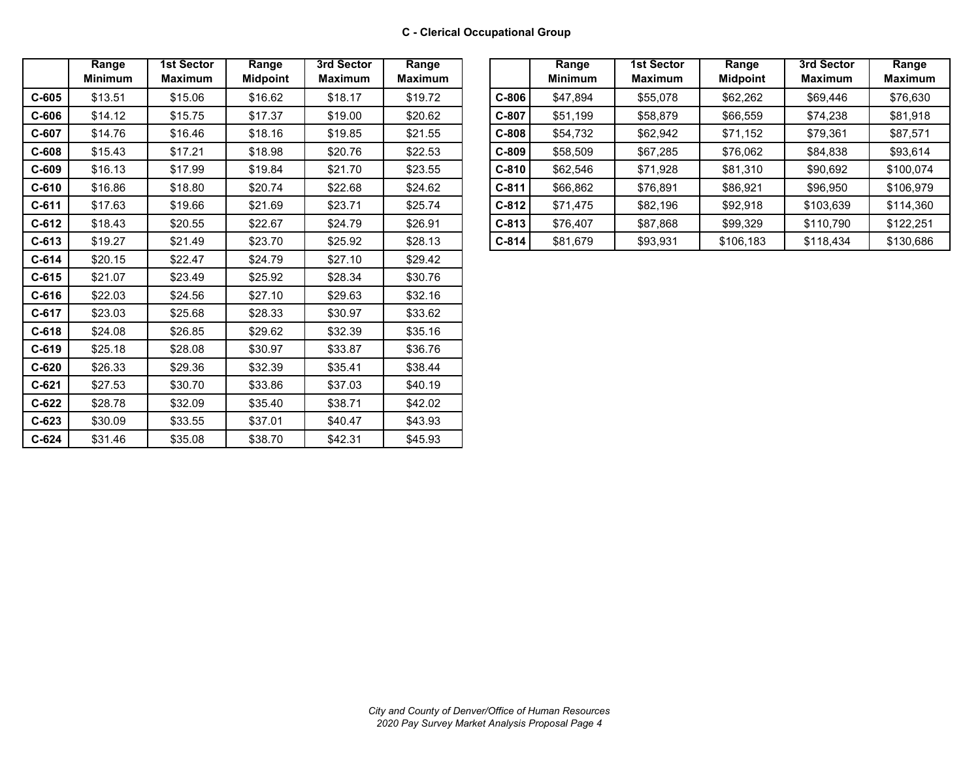|         | Range<br><b>Minimum</b> | <b>1st Sector</b><br><b>Maximum</b> | Range<br><b>Midpoint</b> | 3rd Sector<br><b>Maximum</b> | Range<br><b>Maximum</b> |
|---------|-------------------------|-------------------------------------|--------------------------|------------------------------|-------------------------|
| $C-605$ | \$13.51                 | \$15.06                             | \$16.62                  | \$18.17                      | \$19.72                 |
| $C-606$ | \$14.12                 | \$15.75                             | \$17.37                  | \$19.00                      | \$20.62                 |
| $C-607$ | \$14.76                 | \$16.46                             | \$18.16                  | \$19.85                      | \$21.55                 |
| $C-608$ | \$15.43                 | \$17.21                             | \$18.98                  | \$20.76                      | \$22.53                 |
| $C-609$ | \$16.13                 | \$17.99                             | \$19.84                  | \$21.70                      | \$23.55                 |
| $C-610$ | \$16.86                 | \$18.80                             | \$20.74                  | \$22.68                      | \$24.62                 |
| $C-611$ | \$17.63                 | \$19.66                             | \$21.69                  | \$23.71                      | \$25.74                 |
| $C-612$ | \$18.43                 | \$20.55                             | \$22.67                  | \$24.79                      | \$26.91                 |
| $C-613$ | \$19.27                 | \$21.49                             | \$23.70                  | \$25.92                      | \$28.13                 |
| $C-614$ | \$20.15                 | \$22.47                             | \$24.79                  | \$27.10                      | \$29.42                 |
| $C-615$ | \$21.07                 | \$23.49                             | \$25.92                  | \$28.34                      | \$30.76                 |
| $C-616$ | \$22.03                 | \$24.56                             | \$27.10                  | \$29.63                      | \$32.16                 |
| $C-617$ | \$23.03                 | \$25.68                             | \$28.33                  | \$30.97                      | \$33.62                 |
| $C-618$ | \$24.08                 | \$26.85                             | \$29.62                  | \$32.39                      | \$35.16                 |
| $C-619$ | \$25.18                 | \$28.08                             | \$30.97                  | \$33.87                      | \$36.76                 |
| $C-620$ | \$26.33                 | \$29.36                             | \$32.39                  | \$35.41                      | \$38.44                 |
| $C-621$ | \$27.53                 | \$30.70                             | \$33.86                  | \$37.03                      | \$40.19                 |
| $C-622$ | \$28.78                 | \$32.09                             | \$35.40                  | \$38.71                      | \$42.02                 |
| $C-623$ | \$30.09                 | \$33.55                             | \$37.01                  | \$40.47                      | \$43.93                 |
| $C-624$ | \$31.46                 | \$35.08                             | \$38.70                  | \$42.31                      | \$45.93                 |

|       | Range<br><b>Minimum</b> | 1st Sector<br><b>Maximum</b> | Range<br><b>Midpoint</b> | 3rd Sector<br><b>Maximum</b> | Range<br><b>Maximum</b> |         | Range<br><b>Minimum</b> | <b>1st Sector</b><br><b>Maximum</b> | Range<br><b>Midpoint</b> | 3rd Sector<br><b>Maximum</b> | Range<br>Maximum |
|-------|-------------------------|------------------------------|--------------------------|------------------------------|-------------------------|---------|-------------------------|-------------------------------------|--------------------------|------------------------------|------------------|
| C-605 | \$13.51                 | \$15.06                      | \$16.62                  | \$18.17                      | \$19.72                 | $C-806$ | \$47,894                | \$55,078                            | \$62,262                 | \$69,446                     | \$76,630         |
| C-606 | \$14.12                 | \$15.75                      | \$17.37                  | \$19.00                      | \$20.62                 | $C-807$ | \$51,199                | \$58,879                            | \$66,559                 | \$74,238                     | \$81,918         |
| C-607 | \$14.76                 | \$16.46                      | \$18.16                  | \$19.85                      | \$21.55                 | $C-808$ | \$54,732                | \$62,942                            | \$71,152                 | \$79,361                     | \$87,571         |
| C-608 | \$15.43                 | \$17.21                      | \$18.98                  | \$20.76                      | \$22.53                 | $C-809$ | \$58,509                | \$67,285                            | \$76,062                 | \$84,838                     | \$93,614         |
| C-609 | \$16.13                 | \$17.99                      | \$19.84                  | \$21.70                      | \$23.55                 | $C-810$ | \$62,546                | \$71,928                            | \$81,310                 | \$90,692                     | \$100,074        |
| C-610 | \$16.86                 | \$18.80                      | \$20.74                  | \$22.68                      | \$24.62                 | $C-811$ | \$66,862                | \$76,891                            | \$86,921                 | \$96,950                     | \$106,979        |
| C-611 | \$17.63                 | \$19.66                      | \$21.69                  | \$23.71                      | \$25.74                 | $C-812$ | \$71,475                | \$82,196                            | \$92,918                 | \$103,639                    | \$114,360        |
| C-612 | \$18.43                 | \$20.55                      | \$22.67                  | \$24.79                      | \$26.91                 | $C-813$ | \$76,407                | \$87,868                            | \$99,329                 | \$110,790                    | \$122,251        |
| C-613 | \$19.27                 | \$21.49                      | \$23.70                  | \$25.92                      | \$28.13                 | $C-814$ | \$81,679                | \$93,931                            | \$106,183                | \$118,434                    | \$130,686        |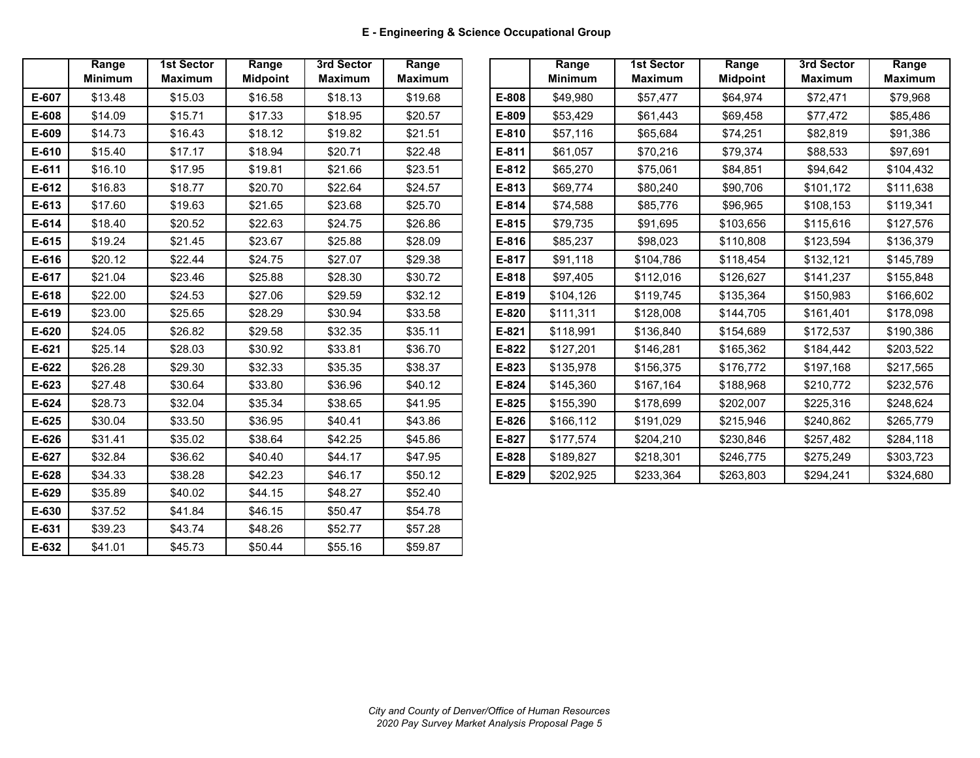|         | Range<br><b>Minimum</b> | <b>1st Sector</b><br><b>Maximum</b> | Range<br><b>Midpoint</b> | 3rd Sector<br><b>Maximum</b> | Range<br><b>Maximum</b> |
|---------|-------------------------|-------------------------------------|--------------------------|------------------------------|-------------------------|
| E-607   | \$13.48                 | \$15.03                             | \$16.58                  | \$18.13                      | \$19.68                 |
| E-608   | \$14.09                 | \$15.71                             | \$17.33                  | \$18.95                      | \$20.57                 |
| E-609   | \$14.73                 | \$16.43                             | \$18.12                  | \$19.82                      | \$21.51                 |
| E-610   | \$15.40                 | \$17.17                             | \$18.94                  | \$20.71                      | \$22.48                 |
| E-611   | \$16.10                 | \$17.95                             | \$19.81                  | \$21.66                      | \$23.51                 |
| E-612   | \$16.83                 | \$18.77                             | \$20.70                  | \$22.64                      | \$24.57                 |
| E-613   | \$17.60                 | \$19.63                             | \$21.65                  | \$23.68                      | \$25.70                 |
| E-614   | \$18.40                 | \$20.52                             | \$22.63                  | \$24.75                      | \$26.86                 |
| E-615   | \$19.24                 | \$21.45                             | \$23.67                  | \$25.88                      | \$28.09                 |
| $E-616$ | \$20.12                 | \$22.44                             | \$24.75                  | \$27.07                      | \$29.38                 |
| E-617   | \$21.04                 | \$23.46                             | \$25.88                  | \$28.30                      | \$30.72                 |
| E-618   | \$22.00                 | \$24.53                             | \$27.06                  | \$29.59                      | \$32.12                 |
| E-619   | \$23.00                 | \$25.65                             | \$28.29                  | \$30.94                      | \$33.58                 |
| $E-620$ | \$24.05                 | \$26.82                             | \$29.58                  | \$32.35                      | \$35.11                 |
| $E-621$ | \$25.14                 | \$28.03                             | \$30.92                  | \$33.81                      | \$36.70                 |
| E-622   | \$26.28                 | \$29.30                             | \$32.33                  | \$35.35                      | \$38.37                 |
| E-623   | \$27.48                 | \$30.64                             | \$33.80                  | \$36.96                      | \$40.12                 |
| E-624   | \$28.73                 | \$32.04                             | \$35.34                  | \$38.65                      | \$41.95                 |
| E-625   | \$30.04                 | \$33.50                             | \$36.95                  | \$40.41                      | \$43.86                 |
| E-626   | \$31.41                 | \$35.02                             | \$38.64                  | \$42.25                      | \$45.86                 |
| E-627   | \$32.84                 | \$36.62                             | \$40.40                  | \$44.17                      | \$47.95                 |
| E-628   | \$34.33                 | \$38.28                             | \$42.23                  | \$46.17                      | \$50.12                 |
| E-629   | \$35.89                 | \$40.02                             | \$44.15                  | \$48.27                      | \$52.40                 |
| E-630   | \$37.52                 | \$41.84                             | \$46.15                  | \$50.47                      | \$54.78                 |
| E-631   | \$39.23                 | \$43.74                             | \$48.26                  | \$52.77                      | \$57.28                 |
| E-632   | \$41.01                 | \$45.73                             | \$50.44                  | \$55.16                      | \$59.87                 |

| Range<br><b>Minimum</b> | <b>1st Sector</b><br><b>Maximum</b> | Range<br><b>Midpoint</b> | 3rd Sector<br><b>Maximum</b> | Range<br><b>Maximum</b> |
|-------------------------|-------------------------------------|--------------------------|------------------------------|-------------------------|
| \$13.48                 | \$15.03                             | \$16.58                  | \$18.13                      | \$19.68                 |
| \$14.09                 | \$15.71                             | \$17.33                  | \$18.95                      | \$20.57                 |
| \$14.73                 | \$16.43                             | \$18.12                  | \$19.82                      | \$21.51                 |
| \$15.40                 | \$17.17                             | \$18.94                  | \$20.71                      | \$22.48                 |
| \$16.10                 | \$17.95                             | \$19.81                  | \$21.66                      | \$23.51                 |
| \$16.83                 | \$18.77                             | \$20.70                  | \$22.64                      | \$24.57                 |
| \$17.60                 | \$19.63                             | \$21.65                  | \$23.68                      | \$25.70                 |
| \$18.40                 | \$20.52                             | \$22.63                  | \$24.75                      | \$26.86                 |
| \$19.24                 | \$21.45                             | \$23.67                  | \$25.88                      | \$28.09                 |
| \$20.12                 | \$22.44                             | \$24.75                  | \$27.07                      | \$29.38                 |
| \$21.04                 | \$23.46                             | \$25.88                  | \$28.30                      | \$30.72                 |
| \$22.00                 | \$24.53                             | \$27.06                  | \$29.59                      | \$32.12                 |
| \$23.00                 | \$25.65                             | \$28.29                  | \$30.94                      | \$33.58                 |
| \$24.05                 | \$26.82                             | \$29.58                  | \$32.35                      | \$35.11                 |
| \$25.14                 | \$28.03                             | \$30.92                  | \$33.81                      | \$36.70                 |
| \$26.28                 | \$29.30                             | \$32.33                  | \$35.35                      | \$38.37                 |
| \$27.48                 | \$30.64                             | \$33.80                  | \$36.96                      | \$40.12                 |
| \$28.73                 | \$32.04                             | \$35.34                  | \$38.65                      | \$41.95                 |
| \$30.04                 | \$33.50                             | \$36.95                  | \$40.41                      | \$43.86                 |
| \$31.41                 | \$35.02                             | \$38.64                  | \$42.25                      | \$45.86                 |
| \$32.84                 | \$36.62                             | \$40.40                  | \$44.17                      | \$47.95                 |
| \$34.33                 | \$38.28                             | \$42.23                  | \$46.17                      | \$50.12                 |
|                         |                                     |                          |                              |                         |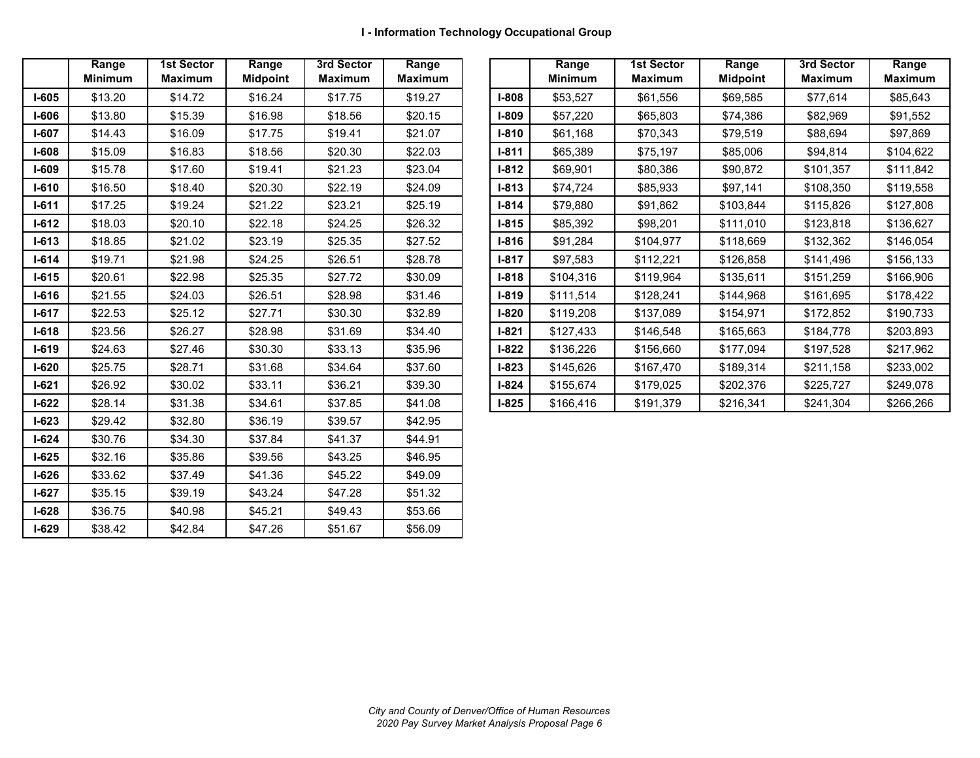|           | Range          | <b>1st Sector</b> | Range           | 3rd Sector     | Range          |
|-----------|----------------|-------------------|-----------------|----------------|----------------|
|           | <b>Minimum</b> | <b>Maximum</b>    | <b>Midpoint</b> | <b>Maximum</b> | <b>Maximum</b> |
| $I-605$   | \$13.20        | \$14.72           | \$16.24         | \$17.75        | \$19.27        |
| $I-606$   | \$13.80        | \$15.39           | \$16.98         | \$18.56        | \$20.15        |
| $I-607$   | \$14.43        | \$16.09           | \$17.75         | \$19.41        | \$21.07        |
| $I-608$   | \$15.09        | \$16.83           | \$18.56         | \$20.30        | \$22.03        |
| $I-609$   | \$15.78        | \$17.60           | \$19.41         | \$21.23        | \$23.04        |
| $I-610$   | \$16.50        | \$18.40           | \$20.30         | \$22.19        | \$24.09        |
| $I-611$   | \$17.25        | \$19.24           | \$21.22         | \$23.21        | \$25.19        |
| $I-612$   | \$18.03        | \$20.10           | \$22.18         | \$24.25        | \$26.32        |
| $I - 613$ | \$18.85        | \$21.02           | \$23.19         | \$25.35        | \$27.52        |
| $I - 614$ | \$19.71        | \$21.98           | \$24.25         | \$26.51        | \$28.78        |
| $I-615$   | \$20.61        | \$22.98           | \$25.35         | \$27.72        | \$30.09        |
| $I-616$   | \$21.55        | \$24.03           | \$26.51         | \$28.98        | \$31.46        |
| $I-617$   | \$22.53        | \$25.12           | \$27.71         | \$30.30        | \$32.89        |
| $I-618$   | \$23.56        | \$26.27           | \$28.98         | \$31.69        | \$34.40        |
| $I-619$   | \$24.63        | \$27.46           | \$30.30         | \$33.13        | \$35.96        |
| $I-620$   | \$25.75        | \$28.71           | \$31.68         | \$34.64        | \$37.60        |
| $I-621$   | \$26.92        | \$30.02           | \$33.11         | \$36.21        | \$39.30        |
| $I-622$   | \$28.14        | \$31.38           | \$34.61         | \$37.85        | \$41.08        |
| $I-623$   | \$29.42        | \$32.80           | \$36.19         | \$39.57        | \$42.95        |
| $I-624$   | \$30.76        | \$34.30           | \$37.84         | \$41.37        | \$44.91        |
| $I-625$   | \$32.16        | \$35.86           | \$39.56         | \$43.25        | \$46.95        |
| $I-626$   | \$33.62        | \$37.49           | \$41.36         | \$45.22        | \$49.09        |
| $I-627$   | \$35.15        | \$39.19           | \$43.24         | \$47.28        | \$51.32        |
| $I-628$   | \$36.75        | \$40.98           | \$45.21         | \$49.43        | \$53.66        |
| $I-629$   | \$38.42        | \$42.84           | \$47.26         | \$51.67        | \$56.09        |

|              | Range<br><b>Minimum</b> | <b>1st Sector</b><br>Maximum | Range<br><b>Midpoint</b> | 3rd Sector<br><b>Maximum</b> | Range<br>Maximum |              | Range<br><b>Minimum</b> | <b>1st Sector</b><br>Maximum | Range<br><b>Midpoint</b> | 3rd Sector<br>Maximum |  |
|--------------|-------------------------|------------------------------|--------------------------|------------------------------|------------------|--------------|-------------------------|------------------------------|--------------------------|-----------------------|--|
| l-605        | \$13.20                 | \$14.72                      | \$16.24                  | \$17.75                      | \$19.27          | <b>I-808</b> | \$53,527                | \$61,556                     | \$69,585                 | \$77,614              |  |
| 1-606        | \$13.80                 | \$15.39                      | \$16.98                  | \$18.56                      | \$20.15          | <b>I-809</b> | \$57,220                | \$65,803                     | \$74,386                 | \$82,969              |  |
| I-607        | \$14.43                 | \$16.09                      | \$17.75                  | \$19.41                      | \$21.07          | $I-810$      | \$61,168                | \$70,343                     | \$79,519                 | \$88,694              |  |
| I-608        | \$15.09                 | \$16.83                      | \$18.56                  | \$20.30                      | \$22.03          | $I-811$      | \$65,389                | \$75,197                     | \$85,006                 | \$94,814              |  |
| I-609        | \$15.78                 | \$17.60                      | \$19.41                  | \$21.23                      | \$23.04          | <b>I-812</b> | \$69,901                | \$80,386                     | \$90,872                 | \$101,357             |  |
| I-610        | \$16.50                 | \$18.40                      | \$20.30                  | \$22.19                      | \$24.09          | $I-813$      | \$74,724                | \$85,933                     | \$97,141                 | \$108,350             |  |
| $I-611$      | \$17.25                 | \$19.24                      | \$21.22                  | \$23.21                      | \$25.19          | <b>I-814</b> | \$79,880                | \$91,862                     | \$103,844                | \$115,826             |  |
| I-612        | \$18.03                 | \$20.10                      | \$22.18                  | \$24.25                      | \$26.32          | $I-815$      | \$85,392                | \$98,201                     | \$111,010                | \$123,818             |  |
| I-613        | \$18.85                 | \$21.02                      | \$23.19                  | \$25.35                      | \$27.52          | $I-816$      | \$91,284                | \$104,977                    | \$118,669                | \$132,362             |  |
| I-614        | \$19.71                 | \$21.98                      | \$24.25                  | \$26.51                      | \$28.78          | $I-817$      | \$97,583                | \$112,221                    | \$126,858                | \$141,496             |  |
| I-615        | \$20.61                 | \$22.98                      | \$25.35                  | \$27.72                      | \$30.09          | $I-818$      | \$104,316               | \$119,964                    | \$135,611                | \$151,259             |  |
| I-616        | \$21.55                 | \$24.03                      | \$26.51                  | \$28.98                      | \$31.46          | I-819        | \$111,514               | \$128,241                    | \$144,968                | \$161,695             |  |
| l-617        | \$22.53                 | \$25.12                      | \$27.71                  | \$30.30                      | \$32.89          | <b>I-820</b> | \$119,208               | \$137,089                    | \$154,971                | \$172,852             |  |
| I-618        | \$23.56                 | \$26.27                      | \$28.98                  | \$31.69                      | \$34.40          | $I-821$      | \$127,433               | \$146,548                    | \$165,663                | \$184,778             |  |
| I-619        | \$24.63                 | \$27.46                      | \$30.30                  | \$33.13                      | \$35.96          | <b>I-822</b> | \$136,226               | \$156,660                    | \$177,094                | \$197,528             |  |
| I-620        | \$25.75                 | \$28.71                      | \$31.68                  | \$34.64                      | \$37.60          | $I-823$      | \$145,626               | \$167,470                    | \$189,314                | \$211,158             |  |
| <b>I-621</b> | \$26.92                 | \$30.02                      | \$33.11                  | \$36.21                      | \$39.30          | $I-824$      | \$155,674               | \$179,025                    | \$202,376                | \$225,727             |  |
| $I-622$      | \$28.14                 | \$31.38                      | \$34.61                  | \$37.85                      | \$41.08          | $I-825$      | \$166,416               | \$191,379                    | \$216,341                | \$241,304             |  |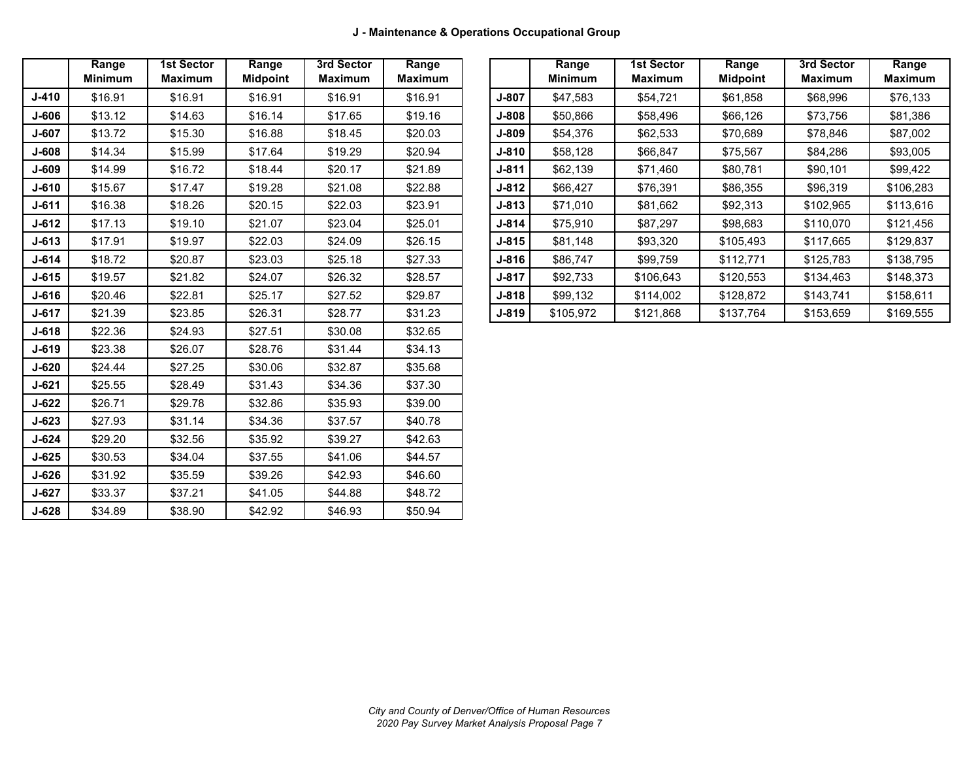|           | Range<br><b>Minimum</b> | <b>1st Sector</b><br><b>Maximum</b> | Range<br><b>Midpoint</b> | 3rd Sector<br><b>Maximum</b> | Range<br><b>Maximum</b> |
|-----------|-------------------------|-------------------------------------|--------------------------|------------------------------|-------------------------|
| $J - 410$ | \$16.91                 | \$16.91                             | \$16.91                  | \$16.91                      | \$16.91                 |
| J-606     | \$13.12                 | \$14.63                             | \$16.14                  | \$17.65                      | \$19.16                 |
| J-607     | \$13.72                 | \$15.30                             | \$16.88                  | \$18.45                      | \$20.03                 |
| J-608     | \$14.34                 | \$15.99                             | \$17.64                  | \$19.29                      | \$20.94                 |
| J-609     | \$14.99                 | \$16.72                             | \$18.44                  | \$20.17                      | \$21.89                 |
| $J - 610$ | \$15.67                 | \$17.47                             | \$19.28                  | \$21.08                      | \$22.88                 |
| $J - 611$ | \$16.38                 | \$18.26                             | \$20.15                  | \$22.03                      | \$23.91                 |
| $J-612$   | \$17.13                 | \$19.10                             | \$21.07                  | \$23.04                      | \$25.01                 |
| $J-613$   | \$17.91                 | \$19.97                             | \$22.03                  | \$24.09                      | \$26.15                 |
| $J - 614$ | \$18.72                 | \$20.87                             | \$23.03                  | \$25.18                      | \$27.33                 |
| $J-615$   | \$19.57                 | \$21.82                             | \$24.07                  | \$26.32                      | \$28.57                 |
| $J-616$   | \$20.46                 | \$22.81                             | \$25.17                  | \$27.52                      | \$29.87                 |
| $J - 617$ | \$21.39                 | \$23.85                             | \$26.31                  | \$28.77                      | \$31.23                 |
| $J - 618$ | \$22.36                 | \$24.93                             | \$27.51                  | \$30.08                      | \$32.65                 |
| $J-619$   | \$23.38                 | \$26.07                             | \$28.76                  | \$31.44                      | \$34.13                 |
| $J-620$   | \$24.44                 | \$27.25                             | \$30.06                  | \$32.87                      | \$35.68                 |
| $J - 621$ | \$25.55                 | \$28.49                             | \$31.43                  | \$34.36                      | \$37.30                 |
| $J-622$   | \$26.71                 | \$29.78                             | \$32.86                  | \$35.93                      | \$39.00                 |
| $J - 623$ | \$27.93                 | \$31.14                             | \$34.36                  | \$37.57                      | \$40.78                 |
| $J - 624$ | \$29.20                 | \$32.56                             | \$35.92                  | \$39.27                      | \$42.63                 |
| $J-625$   | \$30.53                 | \$34.04                             | \$37.55                  | \$41.06                      | \$44.57                 |
| $J-626$   | \$31.92                 | \$35.59                             | \$39.26                  | \$42.93                      | \$46.60                 |
| $J-627$   | \$37.21<br>\$33.37      |                                     | \$41.05                  | \$44.88                      | \$48.72                 |
| $J-628$   | \$34.89                 | \$38.90                             | \$42.92                  | \$46.93                      | \$50.94                 |

|              | Range<br><b>Minimum</b> | 1st Sector<br><b>Maximum</b> | Range<br><b>Midpoint</b> | 3rd Sector<br><b>Maximum</b> | Range<br><b>Maximum</b> |           | Range<br><b>Minimum</b> | <b>1st Sector</b><br><b>Maximum</b> | Range<br><b>Midpoint</b> | 3rd Sector<br>Maximum | Range<br>Maximum |
|--------------|-------------------------|------------------------------|--------------------------|------------------------------|-------------------------|-----------|-------------------------|-------------------------------------|--------------------------|-----------------------|------------------|
| J-410        | \$16.91                 | \$16.91                      | \$16.91                  | \$16.91                      | \$16.91                 | J-807     | \$47,583                | \$54,721                            | \$61,858                 | \$68,996              | \$76,133         |
| J-606        | \$13.12                 | \$14.63                      | \$16.14                  | \$17.65                      | \$19.16                 | $J-808$   | \$50,866                | \$58,496                            | \$66,126                 | \$73,756              | \$81,386         |
| J-607        | \$13.72                 | \$15.30                      | \$16.88                  | \$18.45                      | \$20.03                 | J-809     | \$54,376                | \$62,533                            | \$70,689                 | \$78,846              | \$87,002         |
| J-608        | \$14.34                 | \$15.99                      | \$17.64                  | \$19.29                      | \$20.94                 | $J - 810$ | \$58,128                | \$66,847                            | \$75,567                 | \$84,286              | \$93,005         |
| J-609        | \$14.99                 | \$16.72                      | \$18.44                  | \$20.17                      | \$21.89                 | $J - 811$ | \$62,139                | \$71,460                            | \$80,781                 | \$90,101              | \$99,422         |
| J-610        | \$15.67                 | \$17.47                      | \$19.28                  | \$21.08                      | \$22.88                 | $J - 812$ | \$66,427                | \$76,391                            | \$86,355                 | \$96,319              | \$106,283        |
| J-611        | \$16.38                 | \$18.26                      | \$20.15                  | \$22.03                      | \$23.91                 | $J - 813$ | \$71,010                | \$81,662                            | \$92,313                 | \$102,965             | \$113,616        |
| J-612        | \$17.13                 | \$19.10                      | \$21.07                  | \$23.04                      | \$25.01                 | J-814     | \$75,910                | \$87,297                            | \$98,683                 | \$110,070             | \$121,456        |
| J-613        | \$17.91                 | \$19.97                      | \$22.03                  | \$24.09                      | \$26.15                 | $J - 815$ | \$81,148                | \$93,320                            | \$105,493                | \$117,665             | \$129,837        |
| <b>J-614</b> | \$18.72                 | \$20.87                      | \$23.03                  | \$25.18                      | \$27.33                 | J-816     | \$86,747                | \$99,759                            | \$112,771                | \$125,783             | \$138,795        |
| J-615        | \$19.57                 | \$21.82                      | \$24.07                  | \$26.32                      | \$28.57                 | J-817     | \$92,733                | \$106,643                           | \$120,553                | \$134,463             | \$148,373        |
| J-616        | \$20.46                 | \$22.81                      | \$25.17                  | \$27.52                      | \$29.87                 | $J - 818$ | \$99,132                | \$114,002                           | \$128,872                | \$143,741             | \$158,611        |
| J-617        | \$21.39                 | \$23.85                      | \$26.31                  | \$28.77                      | \$31.23                 | $J-819$   | \$105,972               | \$121,868                           | \$137,764                | \$153,659             | \$169,555        |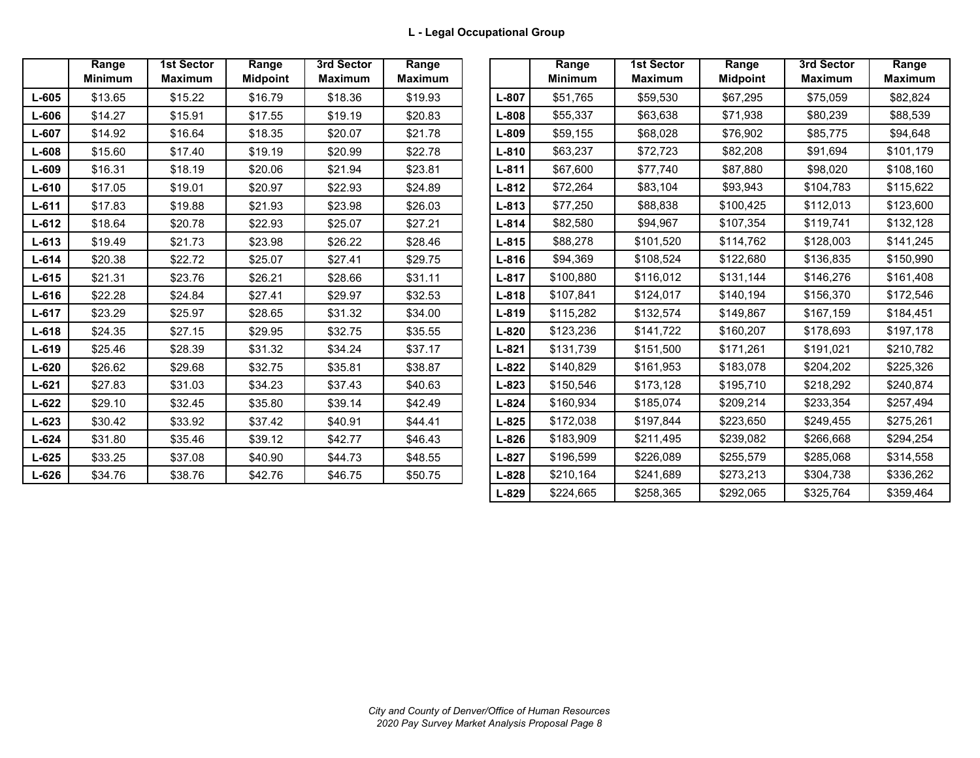|           | Range<br><b>Minimum</b> | <b>1st Sector</b><br><b>Maximum</b> | Range<br><b>Midpoint</b> | 3rd Sector<br><b>Maximum</b> | Range<br><b>Maximum</b> |
|-----------|-------------------------|-------------------------------------|--------------------------|------------------------------|-------------------------|
| $L-605$   | \$13.65                 | \$15.22                             | \$16.79                  | \$18.36                      | \$19.93                 |
| L-606     | \$14.27                 | \$15.91                             | \$17.55                  | \$19.19                      | \$20.83                 |
| $L - 607$ | \$14.92                 | \$16.64                             | \$18.35                  | \$20.07                      | \$21.78                 |
| L-608     | \$15.60                 | \$17.40                             | \$19.19                  | \$20.99                      | \$22.78                 |
| L-609     | \$16.31                 | \$18.19                             | \$20.06                  | \$21.94                      | \$23.81                 |
| $L-610$   | \$17.05                 | \$19.01                             | \$20.97                  | \$22.93                      | \$24.89                 |
| $L-611$   | \$17.83                 | \$19.88                             | \$21.93                  | \$23.98                      | \$26.03                 |
| $L-612$   | \$18.64                 | \$20.78                             | \$22.93                  | \$25.07                      | \$27.21                 |
| $L-613$   | \$19.49                 | \$21.73                             | \$23.98                  | \$26.22                      | \$28.46                 |
| $L-614$   | \$20.38                 | \$22.72                             | \$25.07                  | \$27.41                      | \$29.75                 |
| $L-615$   | \$21.31                 | \$23.76                             | \$26.21                  | \$28.66                      | \$31.11                 |
| $L-616$   | \$22.28                 | \$24.84                             | \$27.41                  | \$29.97                      | \$32.53                 |
| $L-617$   | \$23.29                 | \$25.97                             | \$28.65                  | \$31.32                      | \$34.00                 |
| $L-618$   | \$24.35                 | \$27.15                             | \$29.95                  | \$32.75                      | \$35.55                 |
| $L-619$   | \$25.46                 | \$28.39                             | \$31.32                  | \$34.24                      | \$37.17                 |
| $L - 620$ | \$26.62                 | \$29.68                             | \$32.75                  | \$35.81                      | \$38.87                 |
| $L - 621$ | \$27.83                 | \$31.03                             | \$34.23                  | \$37.43                      | \$40.63                 |
| $L - 622$ | \$29.10                 | \$32.45                             | \$35.80                  | \$39.14                      | \$42.49                 |
| $L - 623$ | \$30.42                 | \$33.92                             | \$37.42                  | \$40.91                      | \$44.41                 |
| $L-624$   | \$31.80                 | \$35.46                             | \$39.12                  | \$42.77                      | \$46.43                 |
| $L-625$   | \$33.25                 | \$37.08                             | \$40.90                  | \$44.73                      | \$48.55                 |
| $L-626$   | \$34.76                 | \$38.76                             | \$42.76                  | \$46.75                      | \$50.75                 |

|           | Range<br><b>Minimum</b> | 1st Sector<br><b>Maximum</b> | Range<br><b>Midpoint</b> | 3rd Sector<br><b>Maximum</b> | Range<br><b>Maximum</b> |           | Range<br><b>Minimum</b> | <b>1st Sector</b><br><b>Maximum</b> | Range<br><b>Midpoint</b> | 3rd Sector<br><b>Maximum</b> | Range<br><b>Maximum</b> |
|-----------|-------------------------|------------------------------|--------------------------|------------------------------|-------------------------|-----------|-------------------------|-------------------------------------|--------------------------|------------------------------|-------------------------|
| L-605     | \$13.65                 | \$15.22                      | \$16.79                  | \$18.36                      | \$19.93                 | $L - 807$ | \$51,765                | \$59,530                            | \$67,295                 | \$75,059                     | \$82,824                |
| L-606     | \$14.27                 | \$15.91                      | \$17.55                  | \$19.19                      | \$20.83                 | L-808     | \$55,337                | \$63,638                            | \$71,938                 | \$80,239                     | \$88,539                |
| L-607     | \$14.92                 | \$16.64                      | \$18.35                  | \$20.07                      | \$21.78                 | L-809     | \$59,155                | \$68,028                            | \$76,902                 | \$85,775                     | \$94,648                |
| L-608     | \$15.60                 | \$17.40                      | \$19.19                  | \$20.99                      | \$22.78                 | $L - 810$ | \$63,237                | \$72,723                            | \$82,208                 | \$91.694                     | \$101,179               |
| L-609     | \$16.31                 | \$18.19                      | \$20.06                  | \$21.94                      | \$23.81                 | $L - 811$ | \$67,600                | \$77,740                            | \$87,880                 | \$98,020                     | \$108,160               |
| $L-610$   | \$17.05                 | \$19.01                      | \$20.97                  | \$22.93                      | \$24.89                 | $L - 812$ | \$72,264                | \$83,104                            | \$93,943                 | \$104,783                    | \$115,622               |
| L-611     | \$17.83                 | \$19.88                      | \$21.93                  | \$23.98                      | \$26.03                 | $L - 813$ | \$77,250                | \$88,838                            | \$100,425                | \$112,013                    | \$123,600               |
| L-612     | \$18.64                 | \$20.78                      | \$22.93                  | \$25.07                      | \$27.21                 | $L - 814$ | \$82,580                | \$94,967                            | \$107,354                | \$119,741                    | \$132,128               |
| L-613     | \$19.49                 | \$21.73                      | \$23.98                  | \$26.22                      | \$28.46                 | $L - 815$ | \$88,278                | \$101,520                           | \$114,762                | \$128,003                    | \$141,245               |
| $L - 614$ | \$20.38                 | \$22.72                      | \$25.07                  | \$27.41                      | \$29.75                 | $L - 816$ | \$94,369                | \$108,524                           | \$122,680                | \$136,835                    | \$150,990               |
| L-615     | \$21.31                 | \$23.76                      | \$26.21                  | \$28.66                      | \$31.11                 | $L - 817$ | \$100,880               | \$116,012                           | \$131,144                | \$146,276                    | \$161,408               |
| L-616     | \$22.28                 | \$24.84                      | \$27.41                  | \$29.97                      | \$32.53                 | $L - 818$ | \$107,841               | \$124,017                           | \$140,194                | \$156,370                    | \$172,546               |
| L-617     | \$23.29                 | \$25.97                      | \$28.65                  | \$31.32                      | \$34.00                 | $L - 819$ | \$115,282               | \$132,574                           | \$149,867                | \$167,159                    | \$184,451               |
| L-618     | \$24.35                 | \$27.15                      | \$29.95                  | \$32.75                      | \$35.55                 | $L - 820$ | \$123,236               | \$141,722                           | \$160,207                | \$178,693                    | \$197,178               |
| L-619     | \$25.46                 | \$28.39                      | \$31.32                  | \$34.24                      | \$37.17                 | $L - 821$ | \$131,739               | \$151,500                           | \$171,261                | \$191,021                    | \$210,782               |
| L-620     | \$26.62                 | \$29.68                      | \$32.75                  | \$35.81                      | \$38.87                 | $L - 822$ | \$140,829               | \$161,953                           | \$183,078                | \$204,202                    | \$225,326               |
| $L-621$   | \$27.83                 | \$31.03                      | \$34.23                  | \$37.43                      | \$40.63                 | $L - 823$ | \$150,546               | \$173,128                           | \$195,710                | \$218,292                    | \$240,874               |
| L-622     | \$29.10                 | \$32.45                      | \$35.80                  | \$39.14                      | \$42.49                 | $L - 824$ | \$160,934               | \$185,074                           | \$209,214                | \$233,354                    | \$257,494               |
| L-623     | \$30.42                 | \$33.92                      | \$37.42                  | \$40.91                      | \$44.41                 | $L - 825$ | \$172,038               | \$197,844                           | \$223,650                | \$249,455                    | \$275,261               |
| L-624     | \$31.80                 | \$35.46                      | \$39.12                  | \$42.77                      | \$46.43                 | $L-826$   | \$183,909               | \$211,495                           | \$239,082                | \$266,668                    | \$294,254               |
| L-625     | \$33.25                 | \$37.08                      | \$40.90                  | \$44.73                      | \$48.55                 | $L - 827$ | \$196,599               | \$226,089                           | \$255,579                | \$285,068                    | \$314,558               |
| $L - 626$ | \$34.76                 | \$38.76                      | \$42.76                  | \$46.75                      | \$50.75                 | $L - 828$ | \$210,164               | \$241,689                           | \$273,213                | \$304,738                    | \$336,262               |
|           |                         |                              |                          |                              |                         | L-829     | \$224,665               | \$258,365                           | \$292,065                | \$325,764                    | \$359,464               |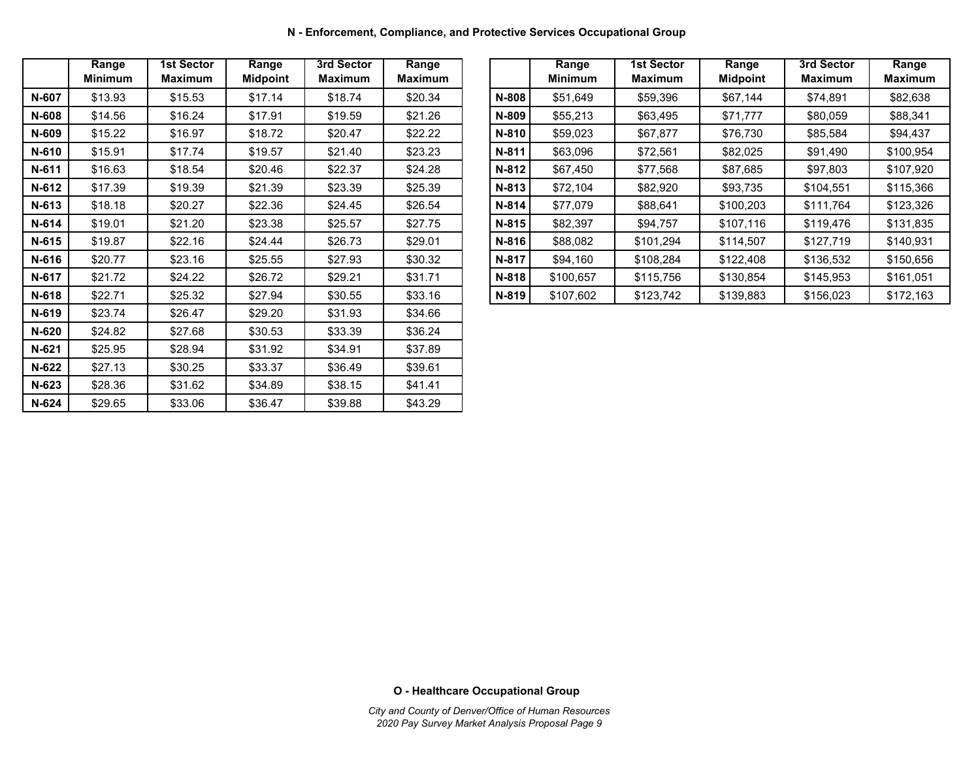**N - Enforcement, Compliance, and Protective Services Occupational Group**

|         | Range<br><b>Minimum</b> | <b>1st Sector</b><br><b>Maximum</b> | Range<br><b>Midpoint</b> | 3rd Sector<br><b>Maximum</b> | Range<br><b>Maximum</b> |
|---------|-------------------------|-------------------------------------|--------------------------|------------------------------|-------------------------|
| N-607   | \$13.93                 | \$15.53                             | \$17.14                  | \$18.74                      | \$20.34                 |
| N-608   | \$14.56                 | \$16.24                             | \$17.91                  | \$19.59                      | \$21.26                 |
| N-609   | \$15.22                 | \$16.97                             | \$18.72                  | \$20.47                      | \$22.22                 |
| N-610   | \$15.91                 | \$17.74                             | \$19.57                  | \$21.40                      | \$23.23                 |
| N-611   | \$16.63                 | \$18.54                             | \$20.46                  | \$22.37                      | \$24.28                 |
| N-612   | \$17.39                 | \$19.39                             | \$21.39                  | \$23.39                      | \$25.39                 |
| $N-613$ | \$18.18                 | \$20.27                             | \$22.36                  | \$24.45                      | \$26.54                 |
| $N-614$ | \$19.01                 | \$21.20                             | \$23.38                  | \$25.57                      | \$27.75                 |
| $N-615$ | \$19.87                 | \$22.16                             | \$24.44                  | \$26.73                      | \$29.01                 |
| N-616   | \$20.77                 | \$23.16                             | \$25.55                  | \$27.93                      | \$30.32                 |
| N-617   | \$21.72                 | \$24.22                             | \$26.72                  | \$29.21                      | \$31.71                 |
| N-618   | \$22.71                 | \$25.32                             | \$27.94                  | \$30.55                      | \$33.16                 |
| N-619   | \$23.74                 | \$26.47                             | \$29.20                  | \$31.93                      | \$34.66                 |
| N-620   | \$24.82                 | \$27.68                             | \$30.53                  | \$33.39                      | \$36.24                 |
| $N-621$ | \$25.95                 | \$28.94                             | \$31.92                  | \$34.91                      | \$37.89                 |
| N-622   | \$27.13                 | \$30.25                             | \$33.37                  | \$36.49                      | \$39.61                 |
| $N-623$ | \$28.36                 | \$31.62                             | \$34.89                  | \$38.15                      | \$41.41                 |
| N-624   | \$29.65                 | \$33.06                             | \$36.47                  | \$39.88                      | \$43.29                 |

|       | Range<br><b>Minimum</b> | 1st Sector<br><b>Maximum</b> | Range<br><b>Midpoint</b> | 3rd Sector<br><b>Maximum</b> | Range<br><b>Maximum</b> |         | Range<br><b>Minimum</b> | <b>1st Sector</b><br>Maximum | Range<br><b>Midpoint</b> | 3rd Sector<br>Maximum | Range<br><b>Maximum</b> |
|-------|-------------------------|------------------------------|--------------------------|------------------------------|-------------------------|---------|-------------------------|------------------------------|--------------------------|-----------------------|-------------------------|
| N-607 | \$13.93                 | \$15.53                      | \$17.14                  | \$18.74                      | \$20.34                 | N-808   | \$51,649                | \$59,396                     | \$67,144                 | \$74,891              | \$82,638                |
| N-608 | \$14.56                 | \$16.24                      | \$17.91                  | \$19.59                      | \$21.26                 | N-809   | \$55,213                | \$63,495                     | \$71.777                 | \$80,059              | \$88,341                |
| N-609 | \$15.22                 | \$16.97                      | \$18.72                  | \$20.47                      | \$22.22                 | N-810   | \$59,023                | \$67,877                     | \$76,730                 | \$85,584              | \$94,437                |
| N-610 | \$15.91                 | \$17.74                      | \$19.57                  | \$21.40                      | \$23.23                 | N-811   | \$63,096                | \$72,561                     | \$82,025                 | \$91,490              | \$100,954               |
| N-611 | \$16.63                 | \$18.54                      | \$20.46                  | \$22.37                      | \$24.28                 | $N-812$ | \$67,450                | \$77,568                     | \$87,685                 | \$97,803              | \$107,920               |
| N-612 | \$17.39                 | \$19.39                      | \$21.39                  | \$23.39                      | \$25.39                 | N-813   | \$72.104                | \$82,920                     | \$93.735                 | \$104.551             | \$115,366               |
| N-613 | \$18.18                 | \$20.27                      | \$22.36                  | \$24.45                      | \$26.54                 | $N-814$ | \$77,079                | \$88,641                     | \$100,203                | \$111,764             | \$123,326               |
| N-614 | \$19.01                 | \$21.20                      | \$23.38                  | \$25.57                      | \$27.75                 | N-815   | \$82,397                | \$94,757                     | \$107.116                | \$119,476             | \$131,835               |
| N-615 | \$19.87                 | \$22.16                      | \$24.44                  | \$26.73                      | \$29.01                 | N-816   | \$88,082                | \$101.294                    | \$114.507                | \$127.719             | \$140,931               |
| N-616 | \$20.77                 | \$23.16                      | \$25.55                  | \$27.93                      | \$30.32                 | N-817   | \$94,160                | \$108,284                    | \$122,408                | \$136,532             | \$150,656               |
| N-617 | \$21.72                 | \$24.22                      | \$26.72                  | \$29.21                      | \$31.71                 | N-818   | \$100,657               | \$115,756                    | \$130,854                | \$145,953             | \$161,051               |
| N-618 | \$22.71                 | \$25.32                      | \$27.94                  | \$30.55                      | \$33.16                 | N-819   | \$107,602               | \$123,742                    | \$139,883                | \$156,023             | \$172,163               |

**O - Healthcare Occupational Group**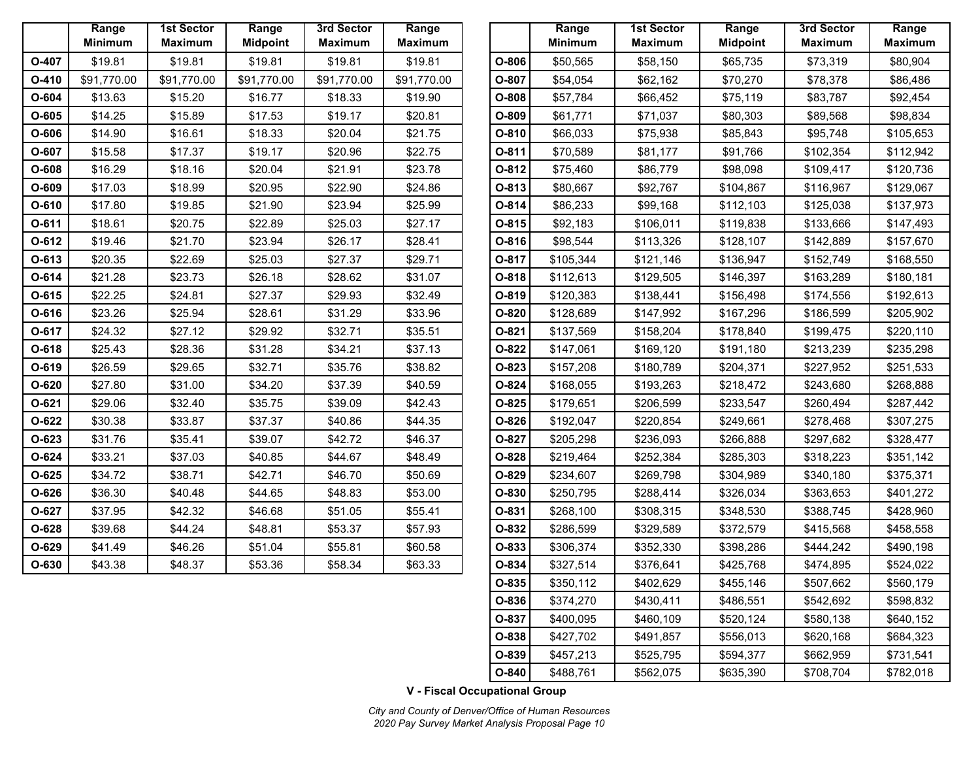|         | Range<br><b>Minimum</b> | <b>1st Sector</b><br><b>Maximum</b> | Range<br><b>Midpoint</b> | 3rd Sector<br><b>Maximum</b> | Range<br><b>Maximum</b> |
|---------|-------------------------|-------------------------------------|--------------------------|------------------------------|-------------------------|
| O-407   | \$19.81                 | \$19.81                             | \$19.81                  | \$19.81                      | \$19.81                 |
| $O-410$ | \$91,770.00             | \$91,770.00                         | \$91,770.00              | \$91,770.00                  | \$91,770.00             |
| O-604   | \$13.63                 | \$15.20                             | \$16.77                  | \$18.33                      | \$19.90                 |
| $O-605$ | \$14.25                 | \$15.89                             | \$17.53                  | \$19.17                      | \$20.81                 |
| O-606   | \$14.90                 | \$16.61                             | \$18.33                  | \$20.04                      | \$21.75                 |
| O-607   | \$15.58                 | \$17.37                             | \$19.17                  | \$20.96                      | \$22.75                 |
| O-608   | \$16.29                 | \$18.16                             | \$20.04                  | \$21.91                      | \$23.78                 |
| O-609   | \$17.03                 | \$18.99                             | \$20.95                  | \$22.90                      | \$24.86                 |
| $O-610$ | \$17.80                 | \$19.85                             | \$21.90                  | \$23.94                      | \$25.99                 |
| $O-611$ | \$18.61                 | \$20.75                             | \$22.89                  | \$25.03                      | \$27.17                 |
| O-612   | \$19.46                 | \$21.70                             | \$23.94                  | \$26.17                      | \$28.41                 |
| $O-613$ | \$20.35                 | \$22.69                             | \$25.03                  | \$27.37                      | \$29.71                 |
| O-614   | \$21.28                 | \$23.73                             | \$26.18                  | \$28.62                      | \$31.07                 |
| $O-615$ | \$22.25                 | \$24.81                             | \$27.37                  | \$29.93                      | \$32.49                 |
| O-616   | \$23.26                 | \$25.94                             | \$28.61                  | \$31.29                      | \$33.96                 |
| O-617   | \$24.32                 | \$27.12                             | \$29.92                  | \$32.71                      | \$35.51                 |
| $O-618$ | \$25.43                 | \$28.36                             | \$31.28                  | \$34.21                      | \$37.13                 |
| O-619   | \$26.59                 | \$29.65                             | \$32.71                  | \$35.76                      | \$38.82                 |
| O-620   | \$27.80                 | \$31.00                             | \$34.20                  | \$37.39                      | \$40.59                 |
| $O-621$ | \$29.06                 | \$32.40                             | \$35.75                  | \$39.09                      | \$42.43                 |
| O-622   | \$30.38                 | \$33.87                             | \$37.37                  | \$40.86                      | \$44.35                 |
| $O-623$ | \$31.76                 | \$35.41                             | \$39.07                  | \$42.72                      | \$46.37                 |
| O-624   | \$33.21                 | \$37.03                             | \$40.85                  | \$44.67                      | \$48.49                 |
| $O-625$ | \$34.72                 | \$38.71                             | \$42.71                  | \$46.70                      | \$50.69                 |
| O-626   | \$36.30                 | \$40.48                             | \$44.65                  | \$48.83                      | \$53.00                 |
| 0-627   | \$37.95                 | \$42.32                             | \$46.68                  | \$51.05                      | \$55.41                 |
| $O-628$ | \$39.68                 | \$44.24                             | \$48.81                  | \$53.37                      | \$57.93                 |
| O-629   | \$41.49                 | \$46.26                             | \$51.04                  | \$55.81                      | \$60.58                 |
| O-630   | \$43.38                 | \$48.37                             | \$53.36                  | \$58.34                      | \$63.33                 |

|       | Range<br><b>Minimum</b> | 1st Sector<br>Maximum | Range<br><b>Midpoint</b> | 3rd Sector<br><b>Maximum</b> | Range<br><b>Maximum</b> |         | Range<br><b>Minimum</b> | <b>1st Sector</b><br><b>Maximum</b> | Range<br><b>Midpoint</b> | 3rd Sector<br><b>Maximum</b> |
|-------|-------------------------|-----------------------|--------------------------|------------------------------|-------------------------|---------|-------------------------|-------------------------------------|--------------------------|------------------------------|
| O-407 | \$19.81                 | \$19.81               | \$19.81                  | \$19.81                      | \$19.81                 | O-806   | \$50,565                | \$58,150                            | \$65,735                 | \$73,319                     |
| O-410 | \$91,770.00             | \$91,770.00           | \$91,770.00              | \$91,770.00                  | \$91,770.00             | O-807   | \$54,054                | \$62,162                            | \$70,270                 | \$78,378                     |
| O-604 | \$13.63                 | \$15.20               | \$16.77                  | \$18.33                      | \$19.90                 | O-808   | \$57,784                | \$66,452                            | \$75,119                 | \$83,787                     |
| O-605 | \$14.25                 | \$15.89               | \$17.53                  | \$19.17                      | \$20.81                 | O-809   | \$61,771                | \$71,037                            | \$80,303                 | \$89,568                     |
| O-606 | \$14.90                 | \$16.61               | \$18.33                  | \$20.04                      | \$21.75                 | O-810   | \$66,033                | \$75,938                            | \$85,843                 | \$95,748                     |
| O-607 | \$15.58                 | \$17.37               | \$19.17                  | \$20.96                      | \$22.75                 | $O-811$ | \$70,589                | \$81,177                            | \$91,766                 | \$102,354                    |
| O-608 | \$16.29                 | \$18.16               | \$20.04                  | \$21.91                      | \$23.78                 | O-812   | \$75,460                | \$86,779                            | \$98,098                 | \$109,417                    |
| O-609 | \$17.03                 | \$18.99               | \$20.95                  | \$22.90                      | \$24.86                 | O-813   | \$80,667                | \$92,767                            | \$104,867                | \$116,967                    |
| O-610 | \$17.80                 | \$19.85               | \$21.90                  | \$23.94                      | \$25.99                 | $O-814$ | \$86,233                | \$99,168                            | \$112,103                | \$125,038                    |
| 0-611 | \$18.61                 | \$20.75               | \$22.89                  | \$25.03                      | \$27.17                 | O-815   | \$92,183                | \$106,011                           | \$119,838                | \$133,666                    |
| O-612 | \$19.46                 | \$21.70               | \$23.94                  | \$26.17                      | \$28.41                 | O-816   | \$98,544                | \$113,326                           | \$128,107                | \$142,889                    |
| 0-613 | \$20.35                 | \$22.69               | \$25.03                  | \$27.37                      | \$29.71                 | O-817   | \$105,344               | \$121,146                           | \$136,947                | \$152,749                    |
| 0-614 | \$21.28                 | \$23.73               | \$26.18                  | \$28.62                      | \$31.07                 | O-818   | \$112,613               | \$129,505                           | \$146,397                | \$163,289                    |
| 0-615 | \$22.25                 | \$24.81               | \$27.37                  | \$29.93                      | \$32.49                 | O-819   | \$120,383               | \$138,441                           | \$156,498                | \$174,556                    |
| 0-616 | \$23.26                 | \$25.94               | \$28.61                  | \$31.29                      | \$33.96                 | $O-820$ | \$128,689               | \$147,992                           | \$167,296                | \$186,599                    |
| 0-617 | \$24.32                 | \$27.12               | \$29.92                  | \$32.71                      | \$35.51                 | $O-821$ | \$137,569               | \$158,204                           | \$178,840                | \$199,475                    |
| 0-618 | \$25.43                 | \$28.36               | \$31.28                  | \$34.21                      | \$37.13                 | O-822   | \$147,061               | \$169,120                           | \$191,180                | \$213,239                    |
| O-619 | \$26.59                 | \$29.65               | \$32.71                  | \$35.76                      | \$38.82                 | O-823   | \$157,208               | \$180,789                           | \$204,371                | \$227,952                    |
| O-620 | \$27.80                 | \$31.00               | \$34.20                  | \$37.39                      | \$40.59                 | O-824   | \$168,055               | \$193,263                           | \$218,472                | \$243,680                    |
| 0-621 | \$29.06                 | \$32.40               | \$35.75                  | \$39.09                      | \$42.43                 | O-825   | \$179,651               | \$206,599                           | \$233,547                | \$260,494                    |
| O-622 | \$30.38                 | \$33.87               | \$37.37                  | \$40.86                      | \$44.35                 | O-826   | \$192,047               | \$220,854                           | \$249,661                | \$278,468                    |
| O-623 | \$31.76                 | \$35.41               | \$39.07                  | \$42.72                      | \$46.37                 | O-827   | \$205,298               | \$236,093                           | \$266,888                | \$297,682                    |
| O-624 | \$33.21                 | \$37.03               | \$40.85                  | \$44.67                      | \$48.49                 | O-828   | \$219,464               | \$252,384                           | \$285,303                | \$318,223                    |
| O-625 | \$34.72                 | \$38.71               | \$42.71                  | \$46.70                      | \$50.69                 | O-829   | \$234,607               | \$269,798                           | \$304,989                | \$340,180                    |
| O-626 | \$36.30                 | \$40.48               | \$44.65                  | \$48.83                      | \$53.00                 | O-830   | \$250,795               | \$288,414                           | \$326,034                | \$363,653                    |
| 0-627 | \$37.95                 | \$42.32               | \$46.68                  | \$51.05                      | \$55.41                 | $O-831$ | \$268,100               | \$308,315                           | \$348,530                | \$388,745                    |
| O-628 | \$39.68                 | \$44.24               | \$48.81                  | \$53.37                      | \$57.93                 | O-832   | \$286,599               | \$329,589                           | \$372,579                | \$415,568                    |
| O-629 | \$41.49                 | \$46.26               | \$51.04                  | \$55.81                      | \$60.58                 | O-833   | \$306,374               | \$352,330                           | \$398,286                | \$444,242                    |
| O-630 | \$43.38                 | \$48.37               | \$53.36                  | \$58.34                      | \$63.33                 | O-834   | \$327,514               | \$376,641                           | \$425,768                | \$474,895                    |
|       |                         |                       |                          |                              |                         | O-835   | \$350,112               | \$402,629                           | \$455,146                | \$507,662                    |
|       |                         |                       |                          |                              |                         | O-836   | \$374,270               | \$430,411                           | \$486,551                | \$542,692                    |
|       |                         |                       |                          |                              |                         | O-837   | \$400,095               | \$460,109                           | \$520,124                | \$580,138                    |
|       |                         |                       |                          |                              |                         | O-838   | \$427,702               | \$491,857                           | \$556,013                | \$620,168                    |
|       |                         |                       |                          |                              |                         | O-839   | \$457,213               | \$525,795                           | \$594,377                | \$662,959                    |
|       |                         |                       |                          |                              |                         | O-840   | \$488,761               | \$562,075                           | \$635,390                | \$708,704                    |

**V - Fiscal Occupational Group**

*City and County of Denver/Office of Human Resources 2020 Pay Survey Market Analysis Proposal Page 10*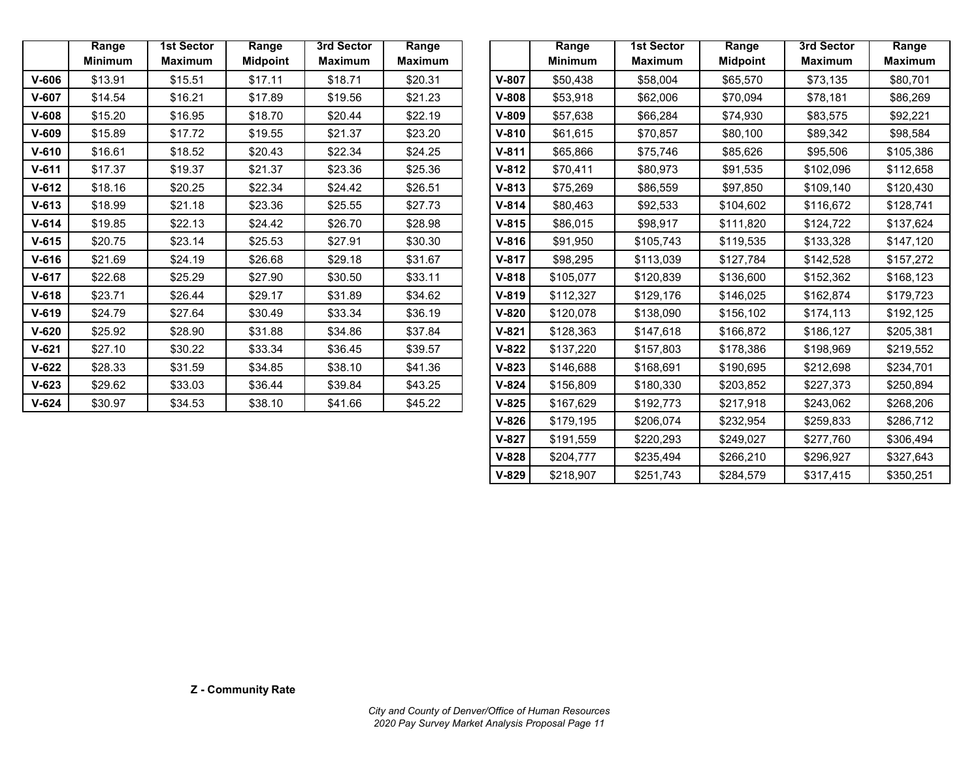|           | Range          | <b>1st Sector</b> | Range           | 3rd Sector     | Range          |
|-----------|----------------|-------------------|-----------------|----------------|----------------|
|           | <b>Minimum</b> | <b>Maximum</b>    | <b>Midpoint</b> | <b>Maximum</b> | <b>Maximum</b> |
| $V-606$   | \$13.91        | \$15.51           | \$17.11         | \$18.71        | \$20.31        |
| $V-607$   | \$14.54        | \$16.21           | \$17.89         | \$19.56        | \$21.23        |
| $V-608$   | \$15.20        | \$16.95           | \$18.70         | \$20.44        | \$22.19        |
| $V-609$   | \$15.89        | \$17.72           | \$19.55         | \$21.37        | \$23.20        |
| $V-610$   | \$16.61        | \$18.52           | \$20.43         | \$22.34        | \$24.25        |
| $V-611$   | \$17.37        | \$19.37           | \$21.37         | \$23.36        | \$25.36        |
| $V-612$   | \$18.16        | \$20.25           | \$22.34         | \$24.42        | \$26.51        |
| $V-613$   | \$18.99        | \$21.18           | \$23.36         | \$25.55        | \$27.73        |
| $V-614$   | \$19.85        | \$22.13           | \$24.42         | \$26.70        | \$28.98        |
| $V-615$   | \$20.75        | \$23.14           | \$25.53         | \$27.91        | \$30.30        |
| $V-616$   | \$21.69        | \$24.19           | \$26.68         | \$29.18        | \$31.67        |
| $V-617$   | \$22.68        | \$25.29           | \$27.90         | \$30.50        | \$33.11        |
| $V-618$   | \$23.71        | \$26.44           | \$29.17         | \$31.89        | \$34.62        |
| $V-619$   | \$24.79        | \$27.64           | \$30.49         | \$33.34        | \$36.19        |
| $V-620$   | \$25.92        | \$28.90           | \$31.88         | \$34.86        | \$37.84        |
| $V-621$   | \$27.10        | \$30.22           | \$33.34         | \$36.45        | \$39.57        |
| $V-622$   | \$28.33        | \$31.59           | \$34.85         | \$38.10        | \$41.36        |
| $V-623$   | \$29.62        | \$33.03           | \$36.44         | \$39.84        | \$43.25        |
| $V - 624$ | \$30.97        | \$34.53           | \$38.10         | \$41.66        | \$45.22        |

|           | Range<br><b>Minimum</b> | <b>1st Sector</b><br><b>Maximum</b> | Range<br><b>Midpoint</b> | 3rd Sector<br><b>Maximum</b> | Range<br><b>Maximum</b> |           | Range<br><b>Minimum</b> | <b>1st Sector</b><br><b>Maximum</b> | Range<br><b>Midpoint</b> | 3rd Sector<br><b>Maximum</b> | <b>Range</b><br><b>Maximum</b> |
|-----------|-------------------------|-------------------------------------|--------------------------|------------------------------|-------------------------|-----------|-------------------------|-------------------------------------|--------------------------|------------------------------|--------------------------------|
| $V-606$   | \$13.91                 | \$15.51                             | \$17.11                  | \$18.71                      | \$20.31                 | $V-807$   | \$50,438                | \$58,004                            | \$65,570                 | \$73,135                     | \$80,701                       |
| $V - 607$ | \$14.54                 | \$16.21                             | \$17.89                  | \$19.56                      | \$21.23                 | $V-808$   | \$53,918                | \$62,006                            | \$70,094                 | \$78,181                     | \$86,269                       |
| $V-608$   | \$15.20                 | \$16.95                             | \$18.70                  | \$20.44                      | \$22.19                 | $V-809$   | \$57,638                | \$66,284                            | \$74,930                 | \$83,575                     | \$92,221                       |
| V-609     | \$15.89                 | \$17.72                             | \$19.55                  | \$21.37                      | \$23.20                 | $V-810$   | \$61,615                | \$70,857                            | \$80,100                 | \$89,342                     | \$98,584                       |
| $V-610$   | \$16.61                 | \$18.52                             | \$20.43                  | \$22.34                      | \$24.25                 | $V-811$   | \$65,866                | \$75,746                            | \$85,626                 | \$95,506                     | \$105,386                      |
| $V - 611$ | \$17.37                 | \$19.37                             | \$21.37                  | \$23.36                      | \$25.36                 | $V-812$   | \$70,411                | \$80,973                            | \$91,535                 | \$102,096                    | \$112,658                      |
| $V - 612$ | \$18.16                 | \$20.25                             | \$22.34                  | \$24.42                      | \$26.51                 | $V - 813$ | \$75,269                | \$86,559                            | \$97,850                 | \$109,140                    | \$120,430                      |
| $V - 613$ | \$18.99                 | \$21.18                             | \$23.36                  | \$25.55                      | \$27.73                 | $V-814$   | \$80,463                | \$92,533                            | \$104,602                | \$116,672                    | \$128,741                      |
| $V - 614$ | \$19.85                 | \$22.13                             | \$24.42                  | \$26.70                      | \$28.98                 | $V-815$   | \$86,015                | \$98,917                            | \$111,820                | \$124,722                    | \$137,624                      |
| $V - 615$ | \$20.75                 | \$23.14                             | \$25.53                  | \$27.91                      | \$30.30                 | $V-816$   | \$91,950                | \$105,743                           | \$119,535                | \$133,328                    | \$147,120                      |
| $V - 616$ | \$21.69                 | \$24.19                             | \$26.68                  | \$29.18                      | \$31.67                 | $V-817$   | \$98,295                | \$113,039                           | \$127,784                | \$142,528                    | \$157,272                      |
| $V-617$   | \$22.68                 | \$25.29                             | \$27.90                  | \$30.50                      | \$33.11                 | $V-818$   | \$105,077               | \$120,839                           | \$136,600                | \$152,362                    | \$168,123                      |
| V-618     | \$23.71                 | \$26.44                             | \$29.17                  | \$31.89                      | \$34.62                 | $V-819$   | \$112,327               | \$129,176                           | \$146,025                | \$162,874                    | \$179,723                      |
| $V - 619$ | \$24.79                 | \$27.64                             | \$30.49                  | \$33.34                      | \$36.19                 | $V-820$   | \$120,078               | \$138,090                           | \$156,102                | \$174,113                    | \$192,125                      |
| $V-620$   | \$25.92                 | \$28.90                             | \$31.88                  | \$34.86                      | \$37.84                 | $V-821$   | \$128,363               | \$147,618                           | \$166,872                | \$186,127                    | \$205,381                      |
| $V - 621$ | \$27.10                 | \$30.22                             | \$33.34                  | \$36.45                      | \$39.57                 | $V-822$   | \$137,220               | \$157,803                           | \$178,386                | \$198,969                    | \$219,552                      |
| $V - 622$ | \$28.33                 | \$31.59                             | \$34.85                  | \$38.10                      | \$41.36                 | $V-823$   | \$146,688               | \$168,691                           | \$190,695                | \$212,698                    | \$234,701                      |
| V-623     | \$29.62                 | \$33.03                             | \$36.44                  | \$39.84                      | \$43.25                 | $V-824$   | \$156,809               | \$180,330                           | \$203,852                | \$227,373                    | \$250,894                      |
| V-624     | \$30.97                 | \$34.53                             | \$38.10                  | \$41.66                      | \$45.22                 | $V-825$   | \$167,629               | \$192,773                           | \$217,918                | \$243,062                    | \$268,206                      |
|           |                         |                                     |                          |                              |                         | $V - 826$ | \$179,195               | \$206,074                           | \$232,954                | \$259,833                    | \$286,712                      |
|           |                         |                                     |                          |                              |                         | $V-827$   | \$191,559               | \$220,293                           | \$249,027                | \$277,760                    | \$306,494                      |
|           |                         |                                     |                          |                              |                         | $V-828$   | \$204,777               | \$235,494                           | \$266,210                | \$296,927                    | \$327,643                      |
|           |                         |                                     |                          |                              |                         | $V-829$   | \$218,907               | \$251,743                           | \$284,579                | \$317,415                    | \$350,251                      |